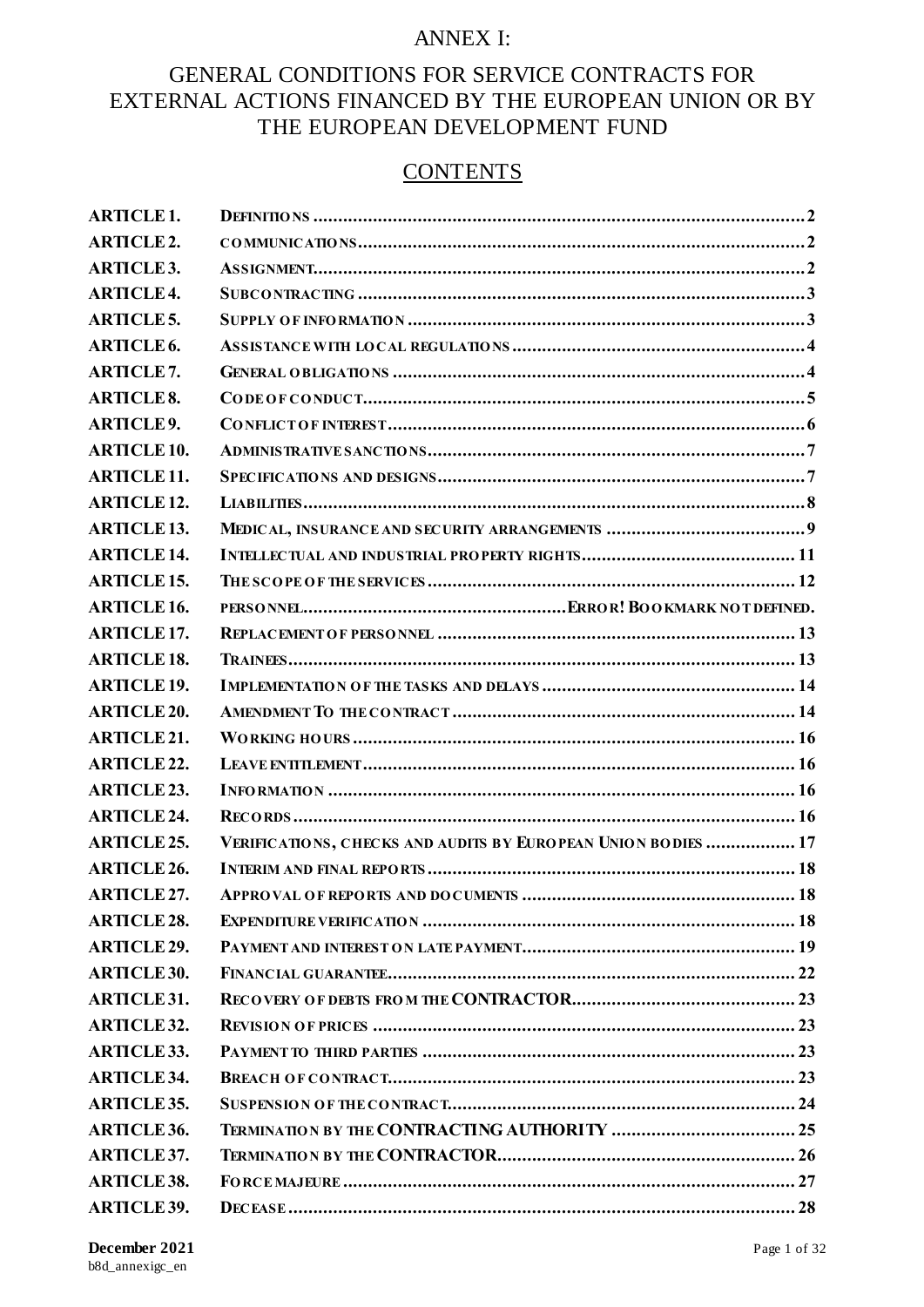## ANNEX I:

# GENERAL CONDITIONS FOR SERVICE CONTRACTS FOR EXTERNAL ACTIONS FINANCED BY THE EUROPEAN UNION OR BY THE EUROPEAN DEVELOPMENT FUND

# **CONTENTS**

| <b>ARTICLE1.</b>   |                                                               |
|--------------------|---------------------------------------------------------------|
| <b>ARTICLE2.</b>   |                                                               |
| <b>ARTICLE3.</b>   |                                                               |
| <b>ARTICLE4.</b>   |                                                               |
| <b>ARTICLE5.</b>   |                                                               |
| <b>ARTICLE6.</b>   |                                                               |
| <b>ARTICLE7.</b>   |                                                               |
| <b>ARTICLE 8.</b>  |                                                               |
| <b>ARTICLE9.</b>   |                                                               |
| <b>ARTICLE 10.</b> |                                                               |
| <b>ARTICLE 11.</b> |                                                               |
| <b>ARTICLE 12.</b> |                                                               |
| <b>ARTICLE 13.</b> |                                                               |
| <b>ARTICLE 14.</b> |                                                               |
| <b>ARTICLE 15.</b> |                                                               |
| <b>ARTICLE 16.</b> |                                                               |
| <b>ARTICLE 17.</b> |                                                               |
| <b>ARTICLE 18.</b> |                                                               |
| <b>ARTICLE 19.</b> |                                                               |
| <b>ARTICLE 20.</b> |                                                               |
| <b>ARTICLE 21.</b> |                                                               |
| <b>ARTICLE 22.</b> |                                                               |
| <b>ARTICLE 23.</b> |                                                               |
| <b>ARTICLE 24.</b> |                                                               |
| <b>ARTICLE 25.</b> | VERIFICATIONS, CHECKS AND AUDITS BY EUROPEAN UNION BODIES  17 |
| <b>ARTICLE 26.</b> |                                                               |
| <b>ARTICLE 27.</b> |                                                               |
| <b>ARTICLE 28.</b> |                                                               |
| <b>ARTICLE 29.</b> |                                                               |
| <b>ARTICLE 30.</b> |                                                               |
| <b>ARTICLE 31.</b> |                                                               |
| <b>ARTICLE 32.</b> |                                                               |
| <b>ARTICLE 33.</b> |                                                               |
| <b>ARTICLE 34.</b> |                                                               |
| <b>ARTICLE 35.</b> |                                                               |
| <b>ARTICLE 36.</b> |                                                               |
| <b>ARTICLE 37.</b> |                                                               |
| <b>ARTICLE 38.</b> |                                                               |
| <b>ARTICLE 39.</b> |                                                               |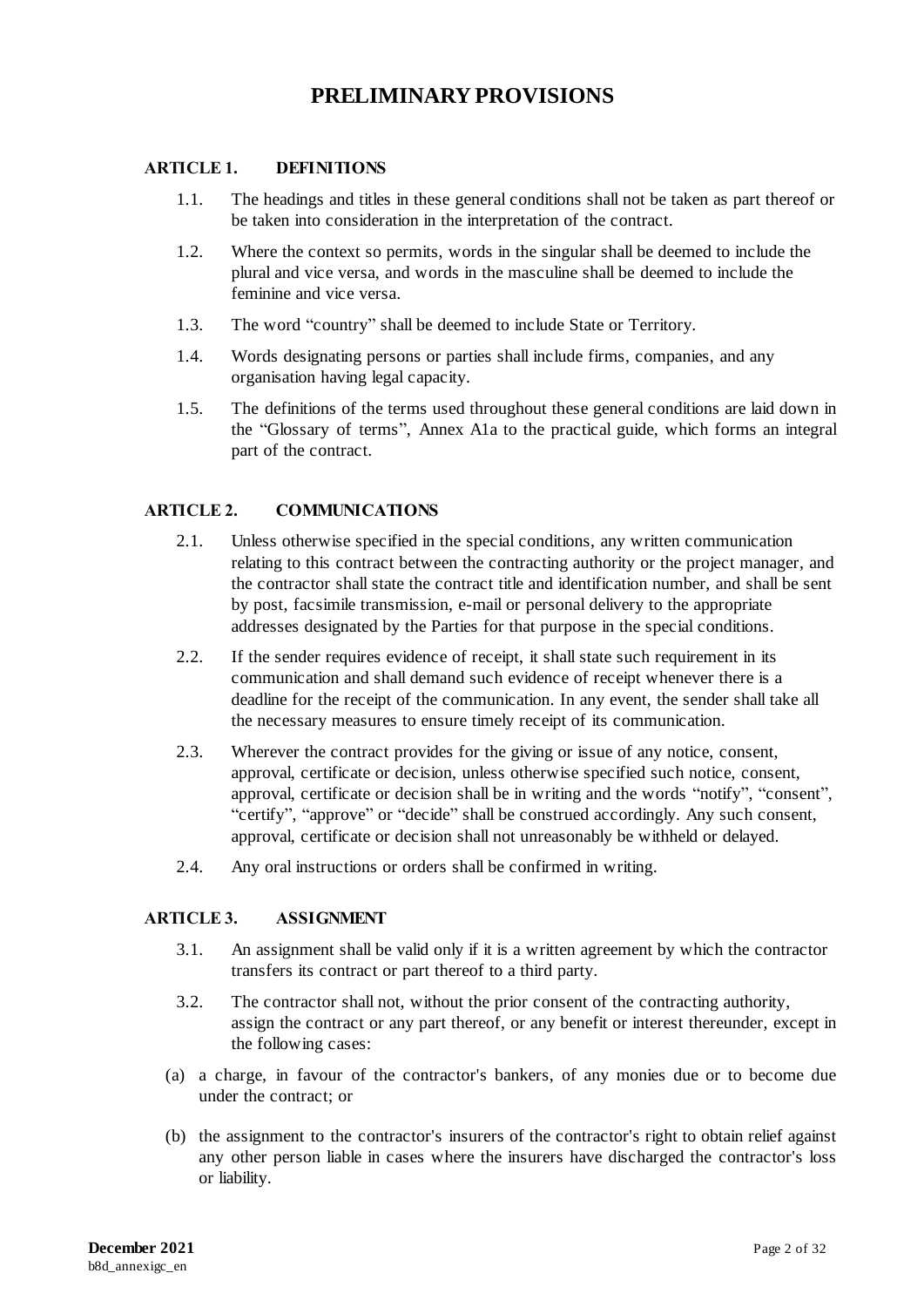# **PRELIMINARY PROVISIONS**

## <span id="page-2-0"></span>**ARTICLE 1. DEFINITIONS**

- 1.1. The headings and titles in these general conditions shall not be taken as part thereof or be taken into consideration in the interpretation of the contract.
- 1.2. Where the context so permits, words in the singular shall be deemed to include the plural and vice versa, and words in the masculine shall be deemed to include the feminine and vice versa.
- 1.3. The word "country" shall be deemed to include State or Territory.
- 1.4. Words designating persons or parties shall include firms, companies, and any organisation having legal capacity.
- 1.5. The definitions of the terms used throughout these general conditions are laid down in the "Glossary of terms", Annex A1a to the practical guide, which forms an integral part of the contract.

### <span id="page-2-1"></span>**ARTICLE 2. COMMUNICATIONS**

- 2.1. Unless otherwise specified in the special conditions, any written communication relating to this contract between the contracting authority or the project manager, and the contractor shall state the contract title and identification number, and shall be sent by post, facsimile transmission, e-mail or personal delivery to the appropriate addresses designated by the Parties for that purpose in the special conditions.
- 2.2. If the sender requires evidence of receipt, it shall state such requirement in its communication and shall demand such evidence of receipt whenever there is a deadline for the receipt of the communication. In any event, the sender shall take all the necessary measures to ensure timely receipt of its communication.
- 2.3. Wherever the contract provides for the giving or issue of any notice, consent, approval, certificate or decision, unless otherwise specified such notice, consent, approval, certificate or decision shall be in writing and the words "notify", "consent", "certify", "approve" or "decide" shall be construed accordingly. Any such consent, approval, certificate or decision shall not unreasonably be withheld or delayed.
- 2.4. Any oral instructions or orders shall be confirmed in writing.

### <span id="page-2-2"></span>**ARTICLE 3. ASSIGNMENT**

- 3.1. An assignment shall be valid only if it is a written agreement by which the contractor transfers its contract or part thereof to a third party.
- 3.2. The contractor shall not, without the prior consent of the contracting authority, assign the contract or any part thereof, or any benefit or interest thereunder, except in the following cases:
- (a) a charge, in favour of the contractor's bankers, of any monies due or to become due under the contract; or
- (b) the assignment to the contractor's insurers of the contractor's right to obtain relief against any other person liable in cases where the insurers have discharged the contractor's loss or liability.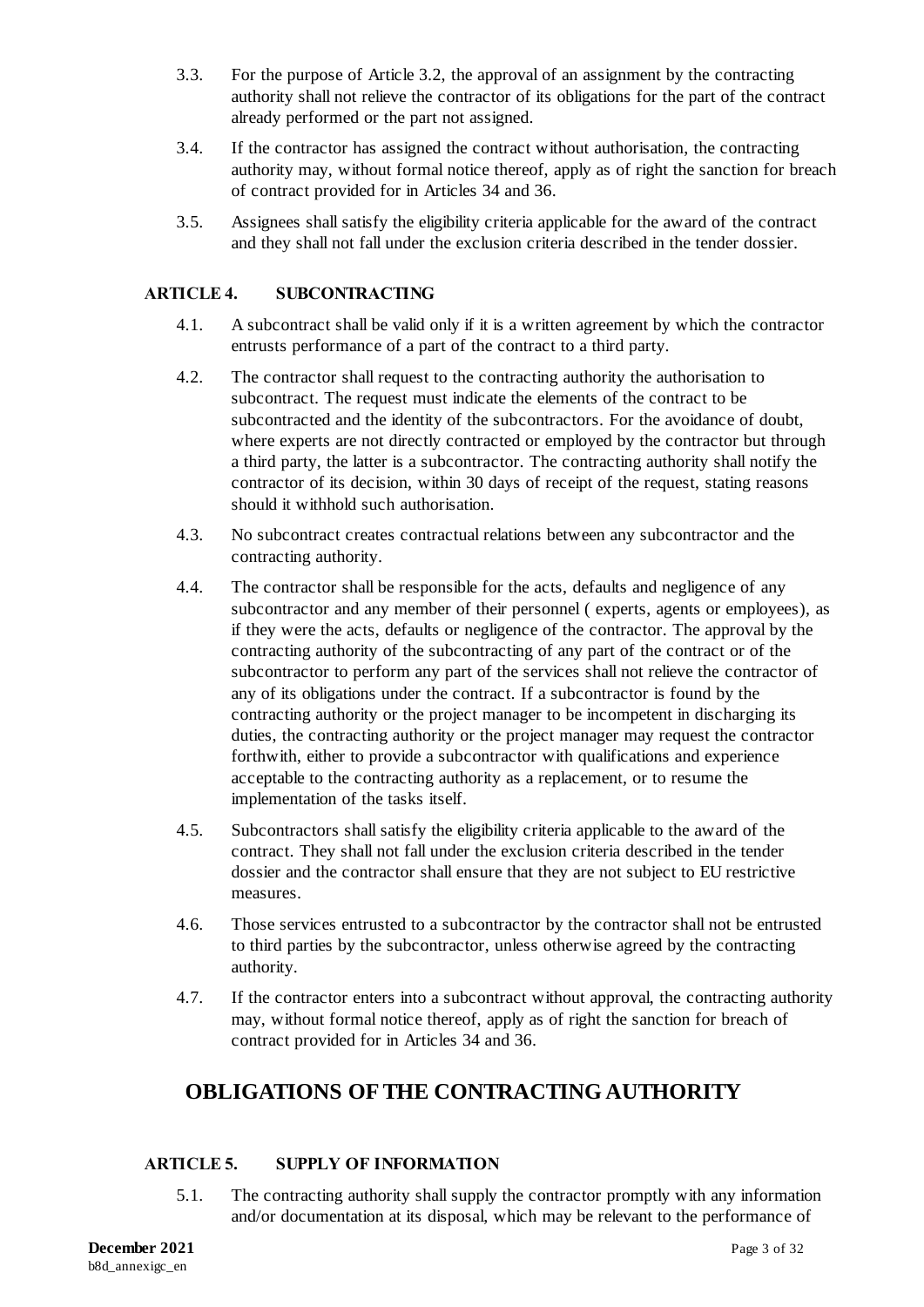- 3.3. For the purpose of Article 3.2, the approval of an assignment by the contracting authority shall not relieve the contractor of its obligations for the part of the contract already performed or the part not assigned.
- 3.4. If the contractor has assigned the contract without authorisation, the contracting authority may, without formal notice thereof, apply as of right the sanction for breach of contract provided for in Articles 34 and 36.
- 3.5. Assignees shall satisfy the eligibility criteria applicable for the award of the contract and they shall not fall under the exclusion criteria described in the tender dossier.

## <span id="page-3-0"></span>**ARTICLE 4. SUBCONTRACTING**

- 4.1. A subcontract shall be valid only if it is a written agreement by which the contractor entrusts performance of a part of the contract to a third party.
- 4.2. The contractor shall request to the contracting authority the authorisation to subcontract. The request must indicate the elements of the contract to be subcontracted and the identity of the subcontractors. For the avoidance of doubt, where experts are not directly contracted or employed by the contractor but through a third party, the latter is a subcontractor. The contracting authority shall notify the contractor of its decision, within 30 days of receipt of the request, stating reasons should it withhold such authorisation.
- 4.3. No subcontract creates contractual relations between any subcontractor and the contracting authority.
- 4.4. The contractor shall be responsible for the acts, defaults and negligence of any subcontractor and any member of their personnel ( experts, agents or employees), as if they were the acts, defaults or negligence of the contractor. The approval by the contracting authority of the subcontracting of any part of the contract or of the subcontractor to perform any part of the services shall not relieve the contractor of any of its obligations under the contract. If a subcontractor is found by the contracting authority or the project manager to be incompetent in discharging its duties, the contracting authority or the project manager may request the contractor forthwith, either to provide a subcontractor with qualifications and experience acceptable to the contracting authority as a replacement, or to resume the implementation of the tasks itself.
- 4.5. Subcontractors shall satisfy the eligibility criteria applicable to the award of the contract. They shall not fall under the exclusion criteria described in the tender dossier and the contractor shall ensure that they are not subject to EU restrictive measures.
- 4.6. Those services entrusted to a subcontractor by the contractor shall not be entrusted to third parties by the subcontractor, unless otherwise agreed by the contracting authority.
- 4.7. If the contractor enters into a subcontract without approval, the contracting authority may, without formal notice thereof, apply as of right the sanction for breach of contract provided for in Articles 34 and 36.

# **OBLIGATIONS OF THE CONTRACTING AUTHORITY**

### <span id="page-3-1"></span>**ARTICLE 5. SUPPLY OF INFORMATION**

5.1. The contracting authority shall supply the contractor promptly with any information and/or documentation at its disposal, which may be relevant to the performance of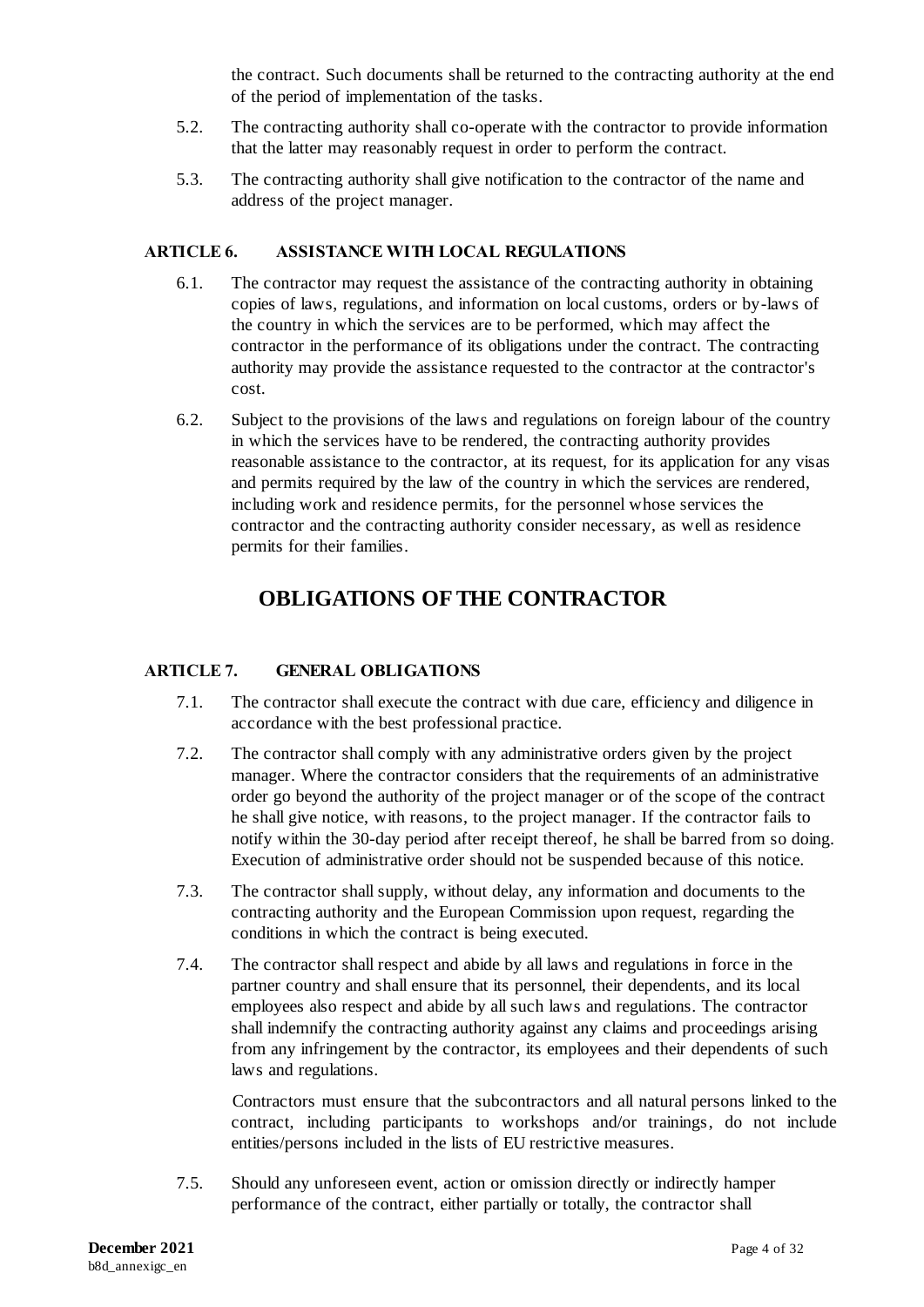the contract. Such documents shall be returned to the contracting authority at the end of the period of implementation of the tasks.

- 5.2. The contracting authority shall co-operate with the contractor to provide information that the latter may reasonably request in order to perform the contract.
- 5.3. The contracting authority shall give notification to the contractor of the name and address of the project manager.

#### <span id="page-4-0"></span>**ARTICLE 6. ASSISTANCE WITH LOCAL REGULATIONS**

- 6.1. The contractor may request the assistance of the contracting authority in obtaining copies of laws, regulations, and information on local customs, orders or by-laws of the country in which the services are to be performed, which may affect the contractor in the performance of its obligations under the contract. The contracting authority may provide the assistance requested to the contractor at the contractor's cost.
- 6.2. Subject to the provisions of the laws and regulations on foreign labour of the country in which the services have to be rendered, the contracting authority provides reasonable assistance to the contractor, at its request, for its application for any visas and permits required by the law of the country in which the services are rendered, including work and residence permits, for the personnel whose services the contractor and the contracting authority consider necessary, as well as residence permits for their families.

# **OBLIGATIONS OF THE CONTRACTOR**

### <span id="page-4-1"></span>**ARTICLE 7. GENERAL OBLIGATIONS**

- 7.1. The contractor shall execute the contract with due care, efficiency and diligence in accordance with the best professional practice.
- 7.2. The contractor shall comply with any administrative orders given by the project manager. Where the contractor considers that the requirements of an administrative order go beyond the authority of the project manager or of the scope of the contract he shall give notice, with reasons, to the project manager. If the contractor fails to notify within the 30-day period after receipt thereof, he shall be barred from so doing. Execution of administrative order should not be suspended because of this notice.
- 7.3. The contractor shall supply, without delay, any information and documents to the contracting authority and the European Commission upon request, regarding the conditions in which the contract is being executed.
- 7.4. The contractor shall respect and abide by all laws and regulations in force in the partner country and shall ensure that its personnel, their dependents, and its local employees also respect and abide by all such laws and regulations. The contractor shall indemnify the contracting authority against any claims and proceedings arising from any infringement by the contractor, its employees and their dependents of such laws and regulations.

Contractors must ensure that the subcontractors and all natural persons linked to the contract, including participants to workshops and/or trainings, do not include entities/persons included in the lists of EU restrictive measures.

7.5. Should any unforeseen event, action or omission directly or indirectly hamper performance of the contract, either partially or totally, the contractor shall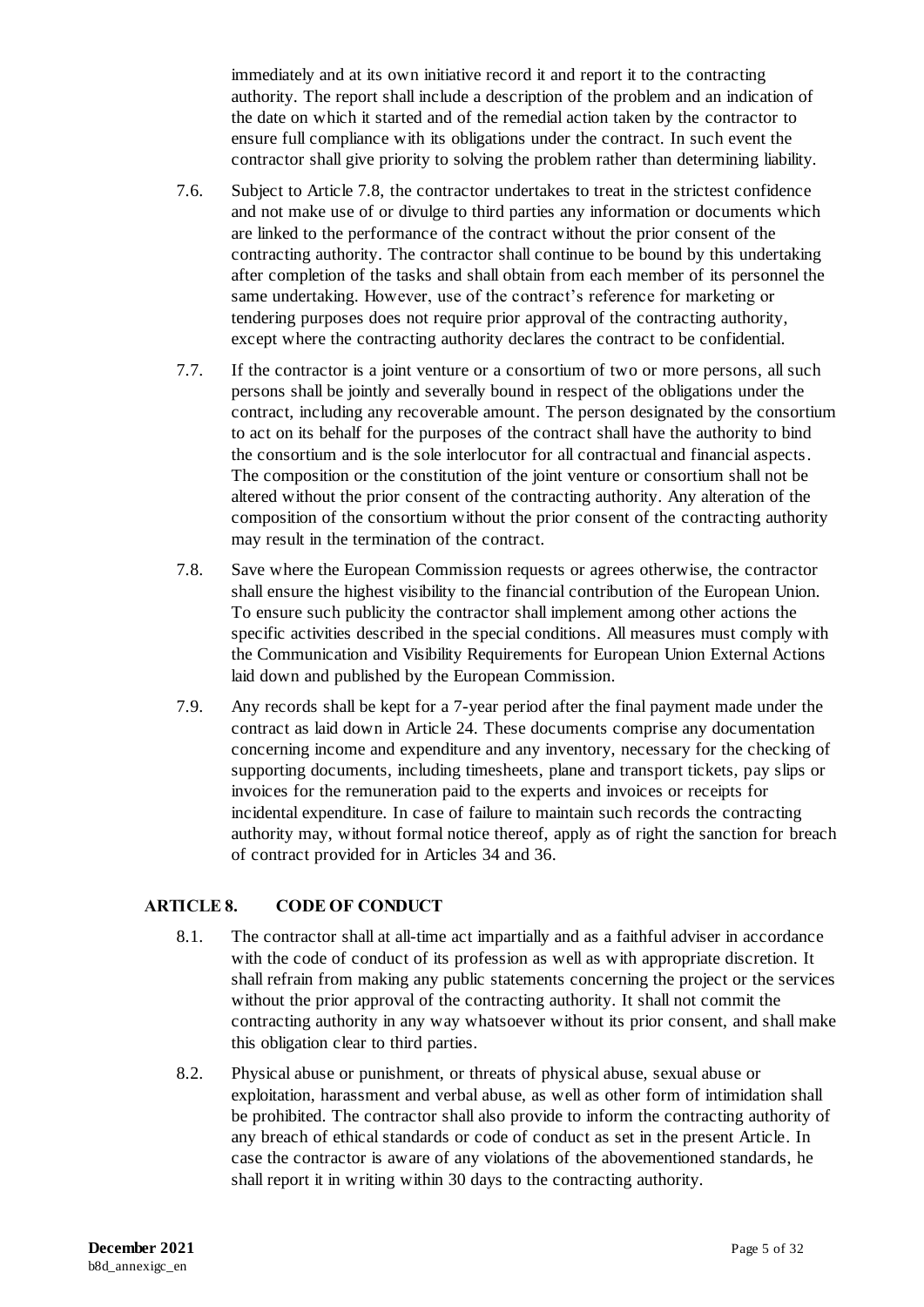immediately and at its own initiative record it and report it to the contracting authority. The report shall include a description of the problem and an indication of the date on which it started and of the remedial action taken by the contractor to ensure full compliance with its obligations under the contract. In such event the contractor shall give priority to solving the problem rather than determining liability.

- 7.6. Subject to Article 7.8, the contractor undertakes to treat in the strictest confidence and not make use of or divulge to third parties any information or documents which are linked to the performance of the contract without the prior consent of the contracting authority. The contractor shall continue to be bound by this undertaking after completion of the tasks and shall obtain from each member of its personnel the same undertaking. However, use of the contract's reference for marketing or tendering purposes does not require prior approval of the contracting authority, except where the contracting authority declares the contract to be confidential.
- 7.7. If the contractor is a joint venture or a consortium of two or more persons, all such persons shall be jointly and severally bound in respect of the obligations under the contract, including any recoverable amount. The person designated by the consortium to act on its behalf for the purposes of the contract shall have the authority to bind the consortium and is the sole interlocutor for all contractual and financial aspects. The composition or the constitution of the joint venture or consortium shall not be altered without the prior consent of the contracting authority. Any alteration of the composition of the consortium without the prior consent of the contracting authority may result in the termination of the contract.
- 7.8. Save where the European Commission requests or agrees otherwise, the contractor shall ensure the highest visibility to the financial contribution of the European Union. To ensure such publicity the contractor shall implement among other actions the specific activities described in the special conditions. All measures must comply with the Communication and Visibility Requirements for European Union External Actions laid down and published by the European Commission.
- 7.9. Any records shall be kept for a 7-year period after the final payment made under the contract as laid down in Article 24. These documents comprise any documentation concerning income and expenditure and any inventory, necessary for the checking of supporting documents, including timesheets, plane and transport tickets, pay slips or invoices for the remuneration paid to the experts and invoices or receipts for incidental expenditure. In case of failure to maintain such records the contracting authority may, without formal notice thereof, apply as of right the sanction for breach of contract provided for in Articles 34 and 36.

### <span id="page-5-0"></span>**ARTICLE 8. CODE OF CONDUCT**

- 8.1. The contractor shall at all-time act impartially and as a faithful adviser in accordance with the code of conduct of its profession as well as with appropriate discretion. It shall refrain from making any public statements concerning the project or the services without the prior approval of the contracting authority. It shall not commit the contracting authority in any way whatsoever without its prior consent, and shall make this obligation clear to third parties.
- 8.2. Physical abuse or punishment, or threats of physical abuse, sexual abuse or exploitation, harassment and verbal abuse, as well as other form of intimidation shall be prohibited. The contractor shall also provide to inform the contracting authority of any breach of ethical standards or code of conduct as set in the present Article. In case the contractor is aware of any violations of the abovementioned standards, he shall report it in writing within 30 days to the contracting authority.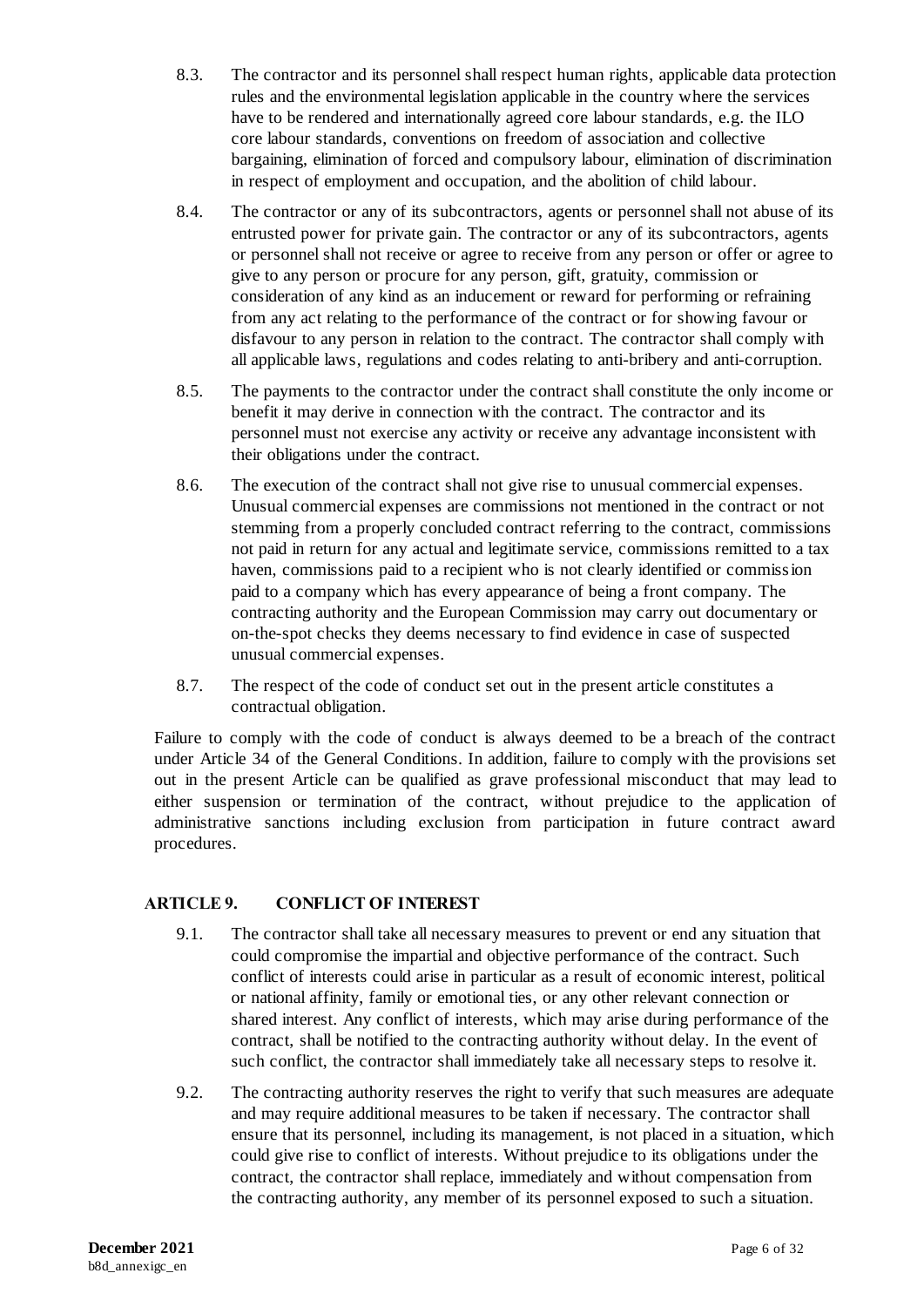- 8.3. The contractor and its personnel shall respect human rights, applicable data protection rules and the environmental legislation applicable in the country where the services have to be rendered and internationally agreed core labour standards, e.g. the ILO core labour standards, conventions on freedom of association and collective bargaining, elimination of forced and compulsory labour, elimination of discrimination in respect of employment and occupation, and the abolition of child labour.
- 8.4. The contractor or any of its subcontractors, agents or personnel shall not abuse of its entrusted power for private gain. The contractor or any of its subcontractors, agents or personnel shall not receive or agree to receive from any person or offer or agree to give to any person or procure for any person, gift, gratuity, commission or consideration of any kind as an inducement or reward for performing or refraining from any act relating to the performance of the contract or for showing favour or disfavour to any person in relation to the contract. The contractor shall comply with all applicable laws, regulations and codes relating to anti-bribery and anti-corruption.
- 8.5. The payments to the contractor under the contract shall constitute the only income or benefit it may derive in connection with the contract. The contractor and its personnel must not exercise any activity or receive any advantage inconsistent with their obligations under the contract.
- 8.6. The execution of the contract shall not give rise to unusual commercial expenses. Unusual commercial expenses are commissions not mentioned in the contract or not stemming from a properly concluded contract referring to the contract, commissions not paid in return for any actual and legitimate service, commissions remitted to a tax haven, commissions paid to a recipient who is not clearly identified or commission paid to a company which has every appearance of being a front company. The contracting authority and the European Commission may carry out documentary or on-the-spot checks they deems necessary to find evidence in case of suspected unusual commercial expenses.
- 8.7. The respect of the code of conduct set out in the present article constitutes a contractual obligation.

Failure to comply with the code of conduct is always deemed to be a breach of the contract under Article 34 of the General Conditions. In addition, failure to comply with the provisions set out in the present Article can be qualified as grave professional misconduct that may lead to either suspension or termination of the contract, without prejudice to the application of administrative sanctions including exclusion from participation in future contract award procedures.

## <span id="page-6-0"></span>**ARTICLE 9. CONFLICT OF INTEREST**

- 9.1. The contractor shall take all necessary measures to prevent or end any situation that could compromise the impartial and objective performance of the contract. Such conflict of interests could arise in particular as a result of economic interest, political or national affinity, family or emotional ties, or any other relevant connection or shared interest. Any conflict of interests, which may arise during performance of the contract, shall be notified to the contracting authority without delay. In the event of such conflict, the contractor shall immediately take all necessary steps to resolve it.
- 9.2. The contracting authority reserves the right to verify that such measures are adequate and may require additional measures to be taken if necessary. The contractor shall ensure that its personnel, including its management, is not placed in a situation, which could give rise to conflict of interests. Without prejudice to its obligations under the contract, the contractor shall replace, immediately and without compensation from the contracting authority, any member of its personnel exposed to such a situation.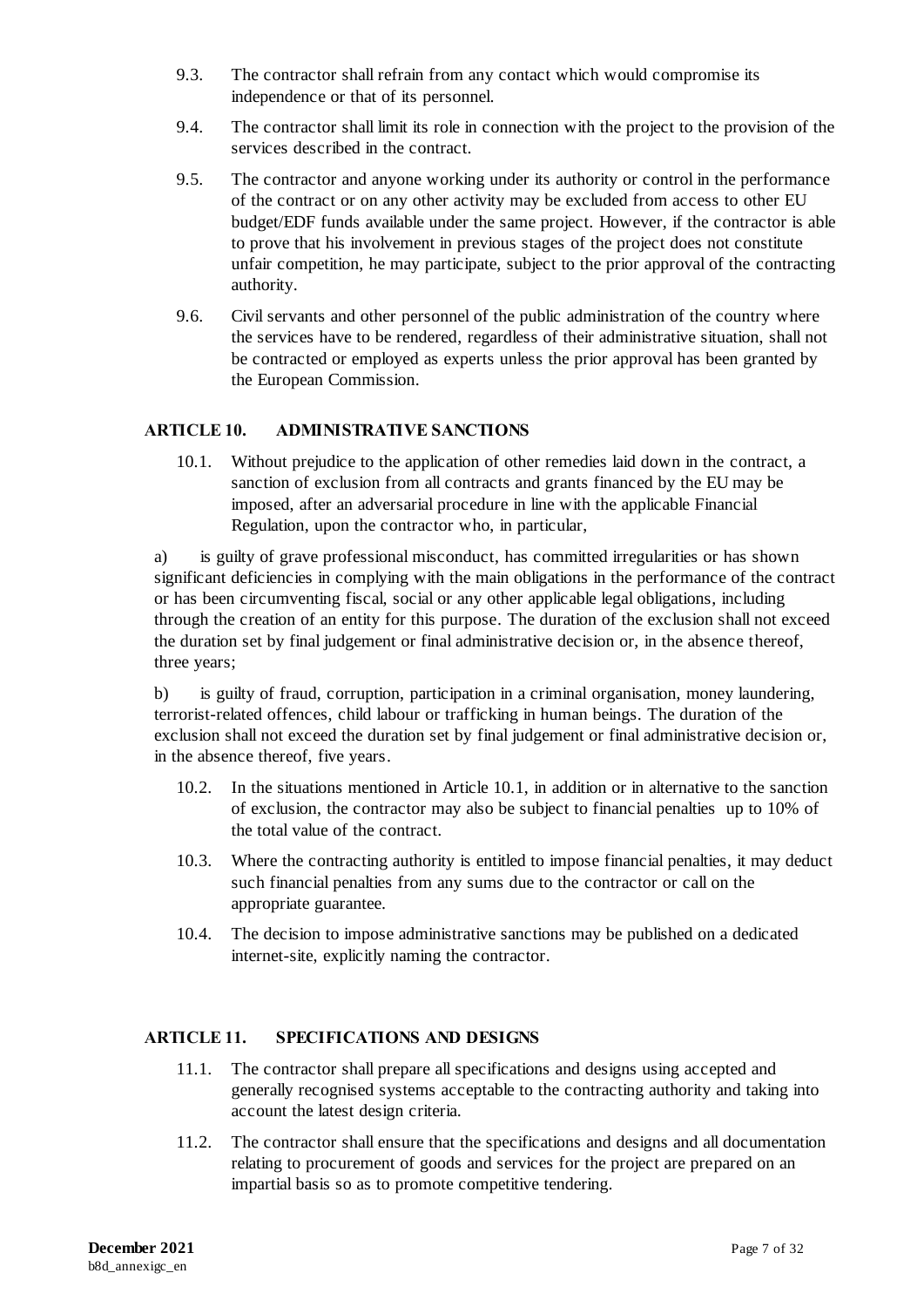- 9.3. The contractor shall refrain from any contact which would compromise its independence or that of its personnel.
- 9.4. The contractor shall limit its role in connection with the project to the provision of the services described in the contract.
- 9.5. The contractor and anyone working under its authority or control in the performance of the contract or on any other activity may be excluded from access to other EU budget/EDF funds available under the same project. However, if the contractor is able to prove that his involvement in previous stages of the project does not constitute unfair competition, he may participate, subject to the prior approval of the contracting authority.
- 9.6. Civil servants and other personnel of the public administration of the country where the services have to be rendered, regardless of their administrative situation, shall not be contracted or employed as experts unless the prior approval has been granted by the European Commission.

### <span id="page-7-0"></span>**ARTICLE 10. ADMINISTRATIVE SANCTIONS**

10.1. Without prejudice to the application of other remedies laid down in the contract, a sanction of exclusion from all contracts and grants financed by the EU may be imposed, after an adversarial procedure in line with the applicable Financial Regulation, upon the contractor who, in particular,

a) is guilty of grave professional misconduct, has committed irregularities or has shown significant deficiencies in complying with the main obligations in the performance of the contract or has been circumventing fiscal, social or any other applicable legal obligations, including through the creation of an entity for this purpose. The duration of the exclusion shall not exceed the duration set by final judgement or final administrative decision or, in the absence thereof, three years;

b) is guilty of fraud, corruption, participation in a criminal organisation, money laundering, terrorist-related offences, child labour or trafficking in human beings. The duration of the exclusion shall not exceed the duration set by final judgement or final administrative decision or, in the absence thereof, five years.

- 10.2. In the situations mentioned in Article 10.1, in addition or in alternative to the sanction of exclusion, the contractor may also be subject to financial penalties up to 10% of the total value of the contract.
- 10.3. Where the contracting authority is entitled to impose financial penalties, it may deduct such financial penalties from any sums due to the contractor or call on the appropriate guarantee.
- 10.4. The decision to impose administrative sanctions may be published on a dedicated internet-site, explicitly naming the contractor.

### <span id="page-7-1"></span>**ARTICLE 11. SPECIFICATIONS AND DESIGNS**

- 11.1. The contractor shall prepare all specifications and designs using accepted and generally recognised systems acceptable to the contracting authority and taking into account the latest design criteria.
- 11.2. The contractor shall ensure that the specifications and designs and all documentation relating to procurement of goods and services for the project are prepared on an impartial basis so as to promote competitive tendering.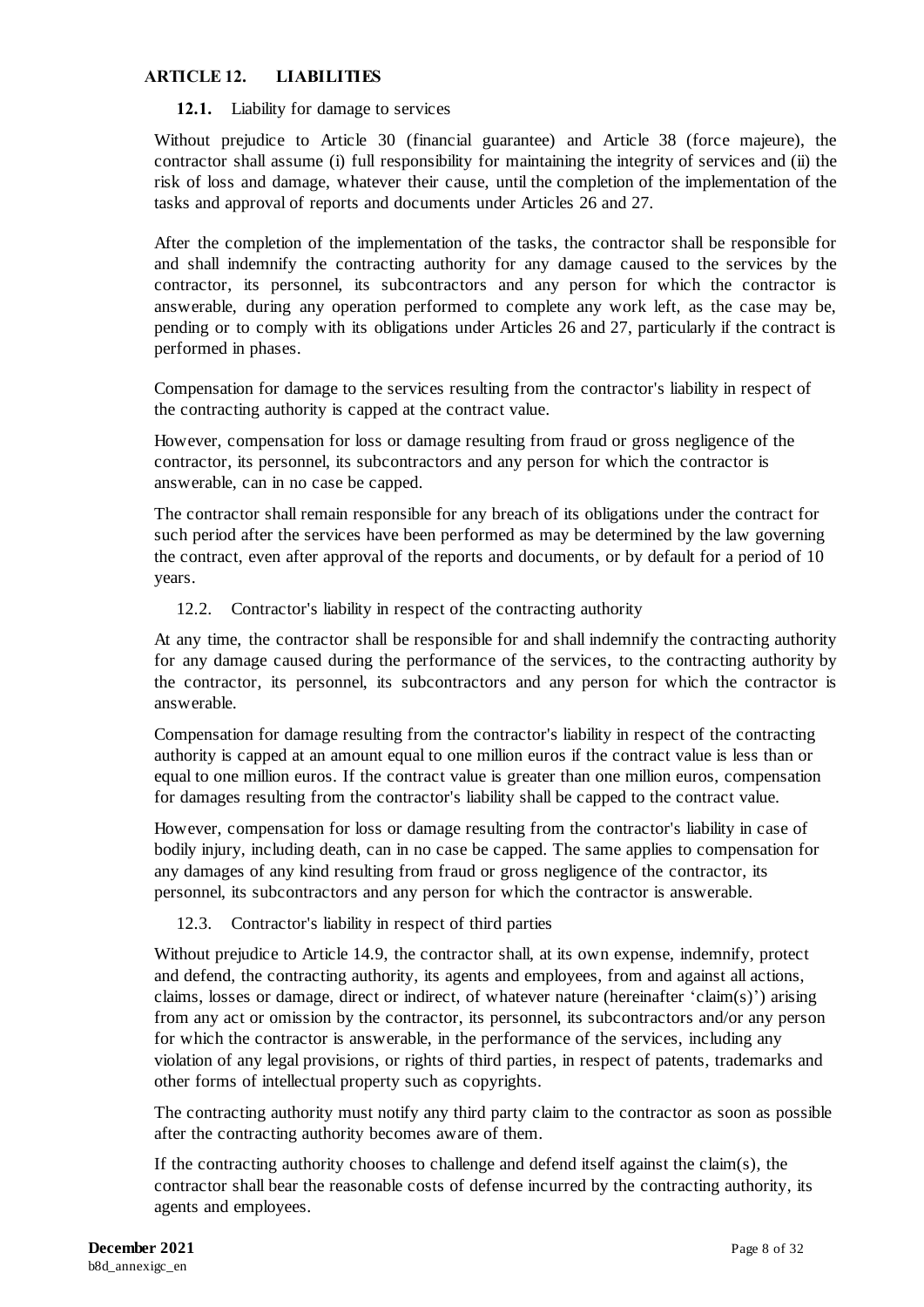### <span id="page-8-0"></span>**ARTICLE 12. LIABILITIES**

#### **12.1.** Liability for damage to services

Without prejudice to Article 30 (financial guarantee) and Article 38 (force majeure), the contractor shall assume (i) full responsibility for maintaining the integrity of services and (ii) the risk of loss and damage, whatever their cause, until the completion of the implementation of the tasks and approval of reports and documents under Articles 26 and 27.

After the completion of the implementation of the tasks, the contractor shall be responsible for and shall indemnify the contracting authority for any damage caused to the services by the contractor, its personnel, its subcontractors and any person for which the contractor is answerable, during any operation performed to complete any work left, as the case may be, pending or to comply with its obligations under Articles 26 and 27, particularly if the contract is performed in phases.

Compensation for damage to the services resulting from the contractor's liability in respect of the contracting authority is capped at the contract value.

However, compensation for loss or damage resulting from fraud or gross negligence of the contractor, its personnel, its subcontractors and any person for which the contractor is answerable, can in no case be capped.

The contractor shall remain responsible for any breach of its obligations under the contract for such period after the services have been performed as may be determined by the law governing the contract, even after approval of the reports and documents, or by default for a period of 10 years.

12.2. Contractor's liability in respect of the contracting authority

At any time, the contractor shall be responsible for and shall indemnify the contracting authority for any damage caused during the performance of the services, to the contracting authority by the contractor, its personnel, its subcontractors and any person for which the contractor is answerable.

Compensation for damage resulting from the contractor's liability in respect of the contracting authority is capped at an amount equal to one million euros if the contract value is less than or equal to one million euros. If the contract value is greater than one million euros, compensation for damages resulting from the contractor's liability shall be capped to the contract value.

However, compensation for loss or damage resulting from the contractor's liability in case of bodily injury, including death, can in no case be capped. The same applies to compensation for any damages of any kind resulting from fraud or gross negligence of the contractor, its personnel, its subcontractors and any person for which the contractor is answerable.

### 12.3. Contractor's liability in respect of third parties

Without prejudice to Article 14.9, the contractor shall, at its own expense, indemnify, protect and defend, the contracting authority, its agents and employees, from and against all actions, claims, losses or damage, direct or indirect, of whatever nature (hereinafter 'claim(s)') arising from any act or omission by the contractor, its personnel, its subcontractors and/or any person for which the contractor is answerable, in the performance of the services, including any violation of any legal provisions, or rights of third parties, in respect of patents, trademarks and other forms of intellectual property such as copyrights.

The contracting authority must notify any third party claim to the contractor as soon as possible after the contracting authority becomes aware of them.

If the contracting authority chooses to challenge and defend itself against the claim(s), the contractor shall bear the reasonable costs of defense incurred by the contracting authority, its agents and employees.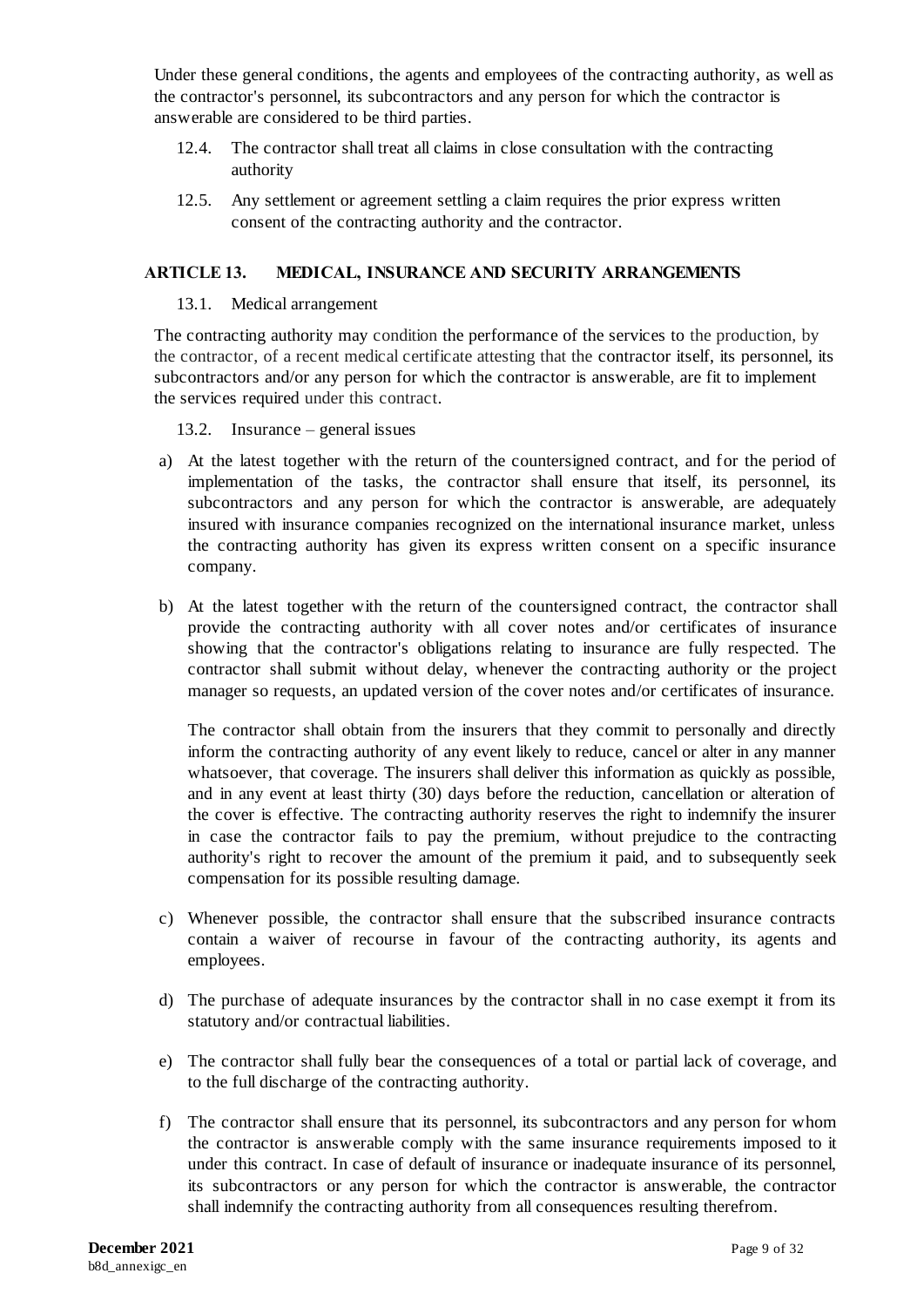Under these general conditions, the agents and employees of the contracting authority, as well as the contractor's personnel, its subcontractors and any person for which the contractor is answerable are considered to be third parties.

- 12.4. The contractor shall treat all claims in close consultation with the contracting authority
- 12.5. Any settlement or agreement settling a claim requires the prior express written consent of the contracting authority and the contractor.

### <span id="page-9-0"></span>**ARTICLE 13. MEDICAL, INSURANCE AND SECURITY ARRANGEMENTS**

#### 13.1. Medical arrangement

The contracting authority may condition the performance of the services to the production, by the contractor, of a recent medical certificate attesting that the contractor itself, its personnel, its subcontractors and/or any person for which the contractor is answerable, are fit to implement the services required under this contract.

13.2. Insurance – general issues

- a) At the latest together with the return of the countersigned contract, and for the period of implementation of the tasks, the contractor shall ensure that itself, its personnel, its subcontractors and any person for which the contractor is answerable, are adequately insured with insurance companies recognized on the international insurance market, unless the contracting authority has given its express written consent on a specific insurance company.
- b) At the latest together with the return of the countersigned contract, the contractor shall provide the contracting authority with all cover notes and/or certificates of insurance showing that the contractor's obligations relating to insurance are fully respected. The contractor shall submit without delay, whenever the contracting authority or the project manager so requests, an updated version of the cover notes and/or certificates of insurance.

The contractor shall obtain from the insurers that they commit to personally and directly inform the contracting authority of any event likely to reduce, cancel or alter in any manner whatsoever, that coverage. The insurers shall deliver this information as quickly as possible, and in any event at least thirty (30) days before the reduction, cancellation or alteration of the cover is effective. The contracting authority reserves the right to indemnify the insurer in case the contractor fails to pay the premium, without prejudice to the contracting authority's right to recover the amount of the premium it paid, and to subsequently seek compensation for its possible resulting damage.

- c) Whenever possible, the contractor shall ensure that the subscribed insurance contracts contain a waiver of recourse in favour of the contracting authority, its agents and employees.
- d) The purchase of adequate insurances by the contractor shall in no case exempt it from its statutory and/or contractual liabilities.
- e) The contractor shall fully bear the consequences of a total or partial lack of coverage, and to the full discharge of the contracting authority.
- f) The contractor shall ensure that its personnel, its subcontractors and any person for whom the contractor is answerable comply with the same insurance requirements imposed to it under this contract. In case of default of insurance or inadequate insurance of its personnel, its subcontractors or any person for which the contractor is answerable, the contractor shall indemnify the contracting authority from all consequences resulting therefrom.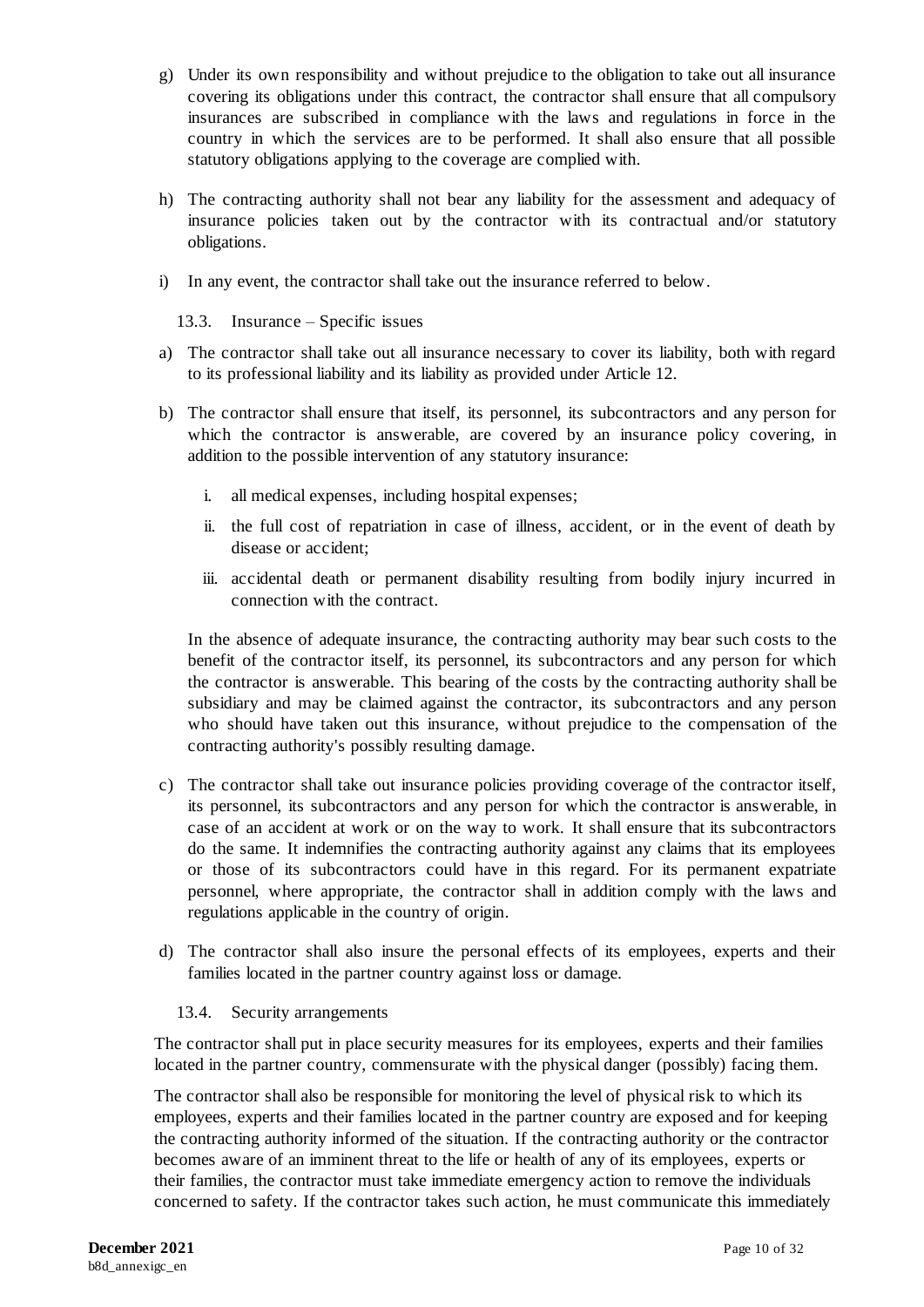- g) Under its own responsibility and without prejudice to the obligation to take out all insurance covering its obligations under this contract, the contractor shall ensure that all compulsory insurances are subscribed in compliance with the laws and regulations in force in the country in which the services are to be performed. It shall also ensure that all possible statutory obligations applying to the coverage are complied with.
- h) The contracting authority shall not bear any liability for the assessment and adequacy of insurance policies taken out by the contractor with its contractual and/or statutory obligations.
- i) In any event, the contractor shall take out the insurance referred to below.
	- 13.3. Insurance Specific issues
- a) The contractor shall take out all insurance necessary to cover its liability, both with regard to its professional liability and its liability as provided under Article 12.
- b) The contractor shall ensure that itself, its personnel, its subcontractors and any person for which the contractor is answerable, are covered by an insurance policy covering, in addition to the possible intervention of any statutory insurance:
	- i. all medical expenses, including hospital expenses;
	- ii. the full cost of repatriation in case of illness, accident, or in the event of death by disease or accident;
	- iii. accidental death or permanent disability resulting from bodily injury incurred in connection with the contract.

In the absence of adequate insurance, the contracting authority may bear such costs to the benefit of the contractor itself, its personnel, its subcontractors and any person for which the contractor is answerable. This bearing of the costs by the contracting authority shall be subsidiary and may be claimed against the contractor, its subcontractors and any person who should have taken out this insurance, without prejudice to the compensation of the contracting authority's possibly resulting damage.

- c) The contractor shall take out insurance policies providing coverage of the contractor itself, its personnel, its subcontractors and any person for which the contractor is answerable, in case of an accident at work or on the way to work. It shall ensure that its subcontractors do the same. It indemnifies the contracting authority against any claims that its employees or those of its subcontractors could have in this regard. For its permanent expatriate personnel, where appropriate, the contractor shall in addition comply with the laws and regulations applicable in the country of origin.
- d) The contractor shall also insure the personal effects of its employees, experts and their families located in the partner country against loss or damage.
	- 13.4. Security arrangements

The contractor shall put in place security measures for its employees, experts and their families located in the partner country, commensurate with the physical danger (possibly) facing them.

The contractor shall also be responsible for monitoring the level of physical risk to which its employees, experts and their families located in the partner country are exposed and for keeping the contracting authority informed of the situation. If the contracting authority or the contractor becomes aware of an imminent threat to the life or health of any of its employees, experts or their families, the contractor must take immediate emergency action to remove the individuals concerned to safety. If the contractor takes such action, he must communicate this immediately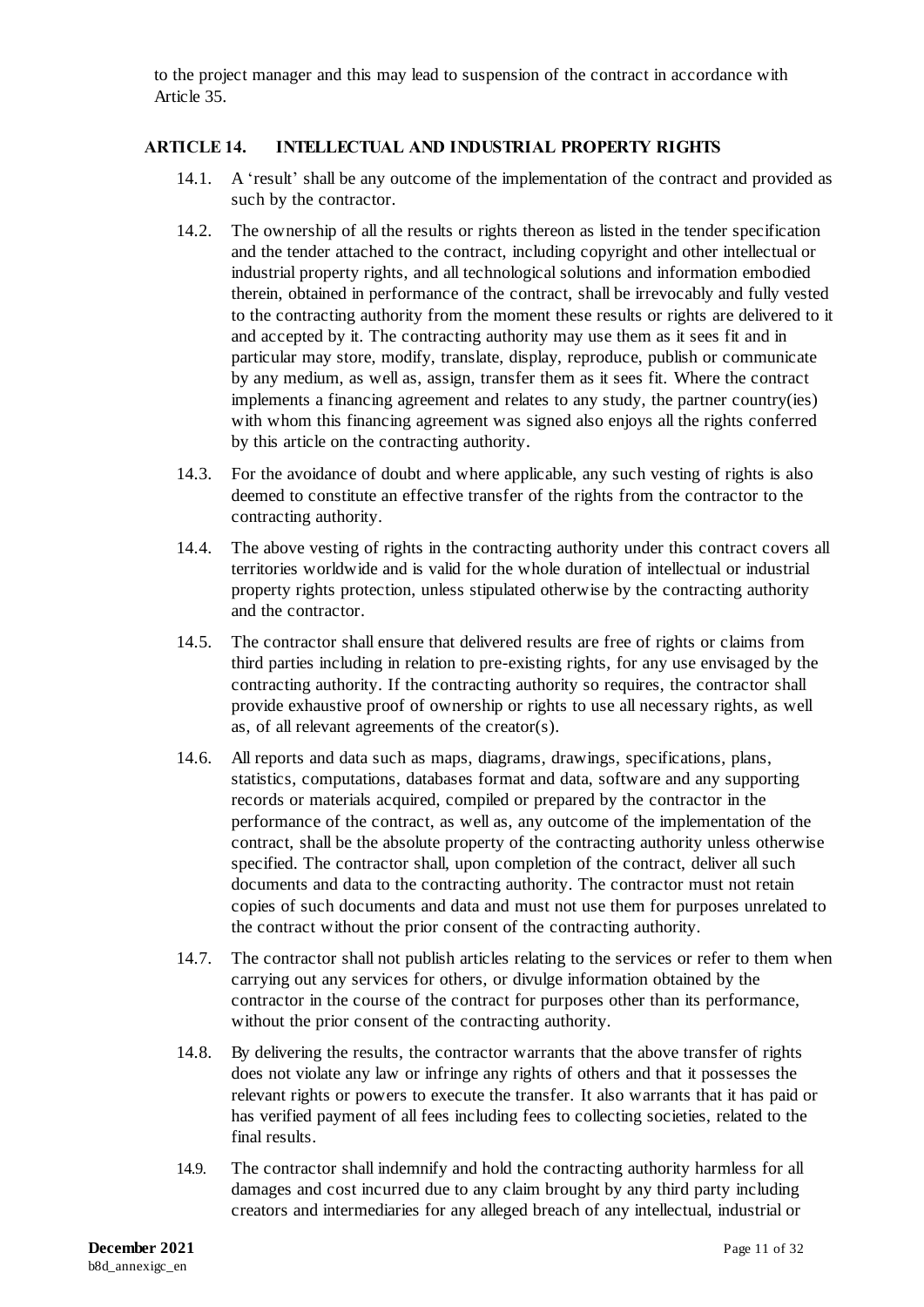to the project manager and this may lead to suspension of the contract in accordance with Article 35.

#### <span id="page-11-0"></span>**ARTICLE 14. INTELLECTUAL AND INDUSTRIAL PROPERTY RIGHTS**

- 14.1. A 'result' shall be any outcome of the implementation of the contract and provided as such by the contractor.
- 14.2. The ownership of all the results or rights thereon as listed in the tender specification and the tender attached to the contract, including copyright and other intellectual or industrial property rights, and all technological solutions and information embodied therein, obtained in performance of the contract, shall be irrevocably and fully vested to the contracting authority from the moment these results or rights are delivered to it and accepted by it. The contracting authority may use them as it sees fit and in particular may store, modify, translate, display, reproduce, publish or communicate by any medium, as well as, assign, transfer them as it sees fit. Where the contract implements a financing agreement and relates to any study, the partner country(ies) with whom this financing agreement was signed also enjoys all the rights conferred by this article on the contracting authority.
- 14.3. For the avoidance of doubt and where applicable, any such vesting of rights is also deemed to constitute an effective transfer of the rights from the contractor to the contracting authority.
- 14.4. The above vesting of rights in the contracting authority under this contract covers all territories worldwide and is valid for the whole duration of intellectual or industrial property rights protection, unless stipulated otherwise by the contracting authority and the contractor.
- 14.5. The contractor shall ensure that delivered results are free of rights or claims from third parties including in relation to pre-existing rights, for any use envisaged by the contracting authority. If the contracting authority so requires, the contractor shall provide exhaustive proof of ownership or rights to use all necessary rights, as well as, of all relevant agreements of the creator(s).
- 14.6. All reports and data such as maps, diagrams, drawings, specifications, plans, statistics, computations, databases format and data, software and any supporting records or materials acquired, compiled or prepared by the contractor in the performance of the contract, as well as, any outcome of the implementation of the contract, shall be the absolute property of the contracting authority unless otherwise specified. The contractor shall, upon completion of the contract, deliver all such documents and data to the contracting authority. The contractor must not retain copies of such documents and data and must not use them for purposes unrelated to the contract without the prior consent of the contracting authority.
- 14.7. The contractor shall not publish articles relating to the services or refer to them when carrying out any services for others, or divulge information obtained by the contractor in the course of the contract for purposes other than its performance, without the prior consent of the contracting authority.
- 14.8. By delivering the results, the contractor warrants that the above transfer of rights does not violate any law or infringe any rights of others and that it possesses the relevant rights or powers to execute the transfer. It also warrants that it has paid or has verified payment of all fees including fees to collecting societies, related to the final results.
- 14.9. The contractor shall indemnify and hold the contracting authority harmless for all damages and cost incurred due to any claim brought by any third party including creators and intermediaries for any alleged breach of any intellectual, industrial or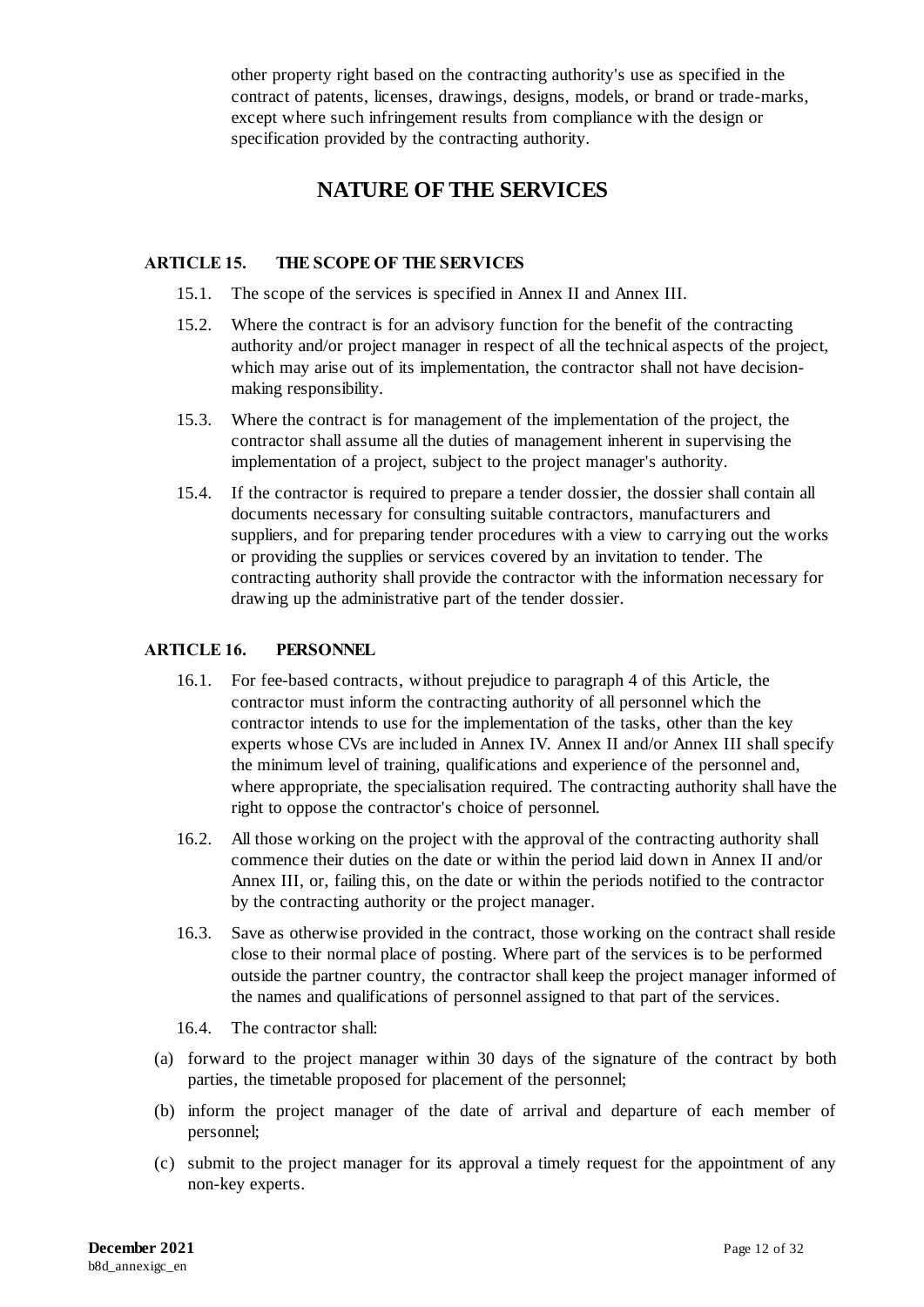other property right based on the contracting authority's use as specified in the contract of patents, licenses, drawings, designs, models, or brand or trade-marks, except where such infringement results from compliance with the design or specification provided by the contracting authority.

## **NATURE OF THE SERVICES**

### <span id="page-12-0"></span>**ARTICLE 15. THE SCOPE OF THE SERVICES**

- 15.1. The scope of the services is specified in Annex II and Annex III.
- 15.2. Where the contract is for an advisory function for the benefit of the contracting authority and/or project manager in respect of all the technical aspects of the project, which may arise out of its implementation, the contractor shall not have decisionmaking responsibility.
- 15.3. Where the contract is for management of the implementation of the project, the contractor shall assume all the duties of management inherent in supervising the implementation of a project, subject to the project manager's authority.
- 15.4. If the contractor is required to prepare a tender dossier, the dossier shall contain all documents necessary for consulting suitable contractors, manufacturers and suppliers, and for preparing tender procedures with a view to carrying out the works or providing the supplies or services covered by an invitation to tender. The contracting authority shall provide the contractor with the information necessary for drawing up the administrative part of the tender dossier.

## **ARTICLE 16. PERSONNEL**

- 16.1. For fee-based contracts, without prejudice to paragraph 4 of this Article, the contractor must inform the contracting authority of all personnel which the contractor intends to use for the implementation of the tasks, other than the key experts whose CVs are included in Annex IV. Annex II and/or Annex III shall specify the minimum level of training, qualifications and experience of the personnel and, where appropriate, the specialisation required. The contracting authority shall have the right to oppose the contractor's choice of personnel.
- 16.2. All those working on the project with the approval of the contracting authority shall commence their duties on the date or within the period laid down in Annex II and/or Annex III, or, failing this, on the date or within the periods notified to the contractor by the contracting authority or the project manager.
- 16.3. Save as otherwise provided in the contract, those working on the contract shall reside close to their normal place of posting. Where part of the services is to be performed outside the partner country, the contractor shall keep the project manager informed of the names and qualifications of personnel assigned to that part of the services.
- 16.4. The contractor shall:
- (a) forward to the project manager within 30 days of the signature of the contract by both parties, the timetable proposed for placement of the personnel;
- (b) inform the project manager of the date of arrival and departure of each member of personnel;
- (c) submit to the project manager for its approval a timely request for the appointment of any non-key experts.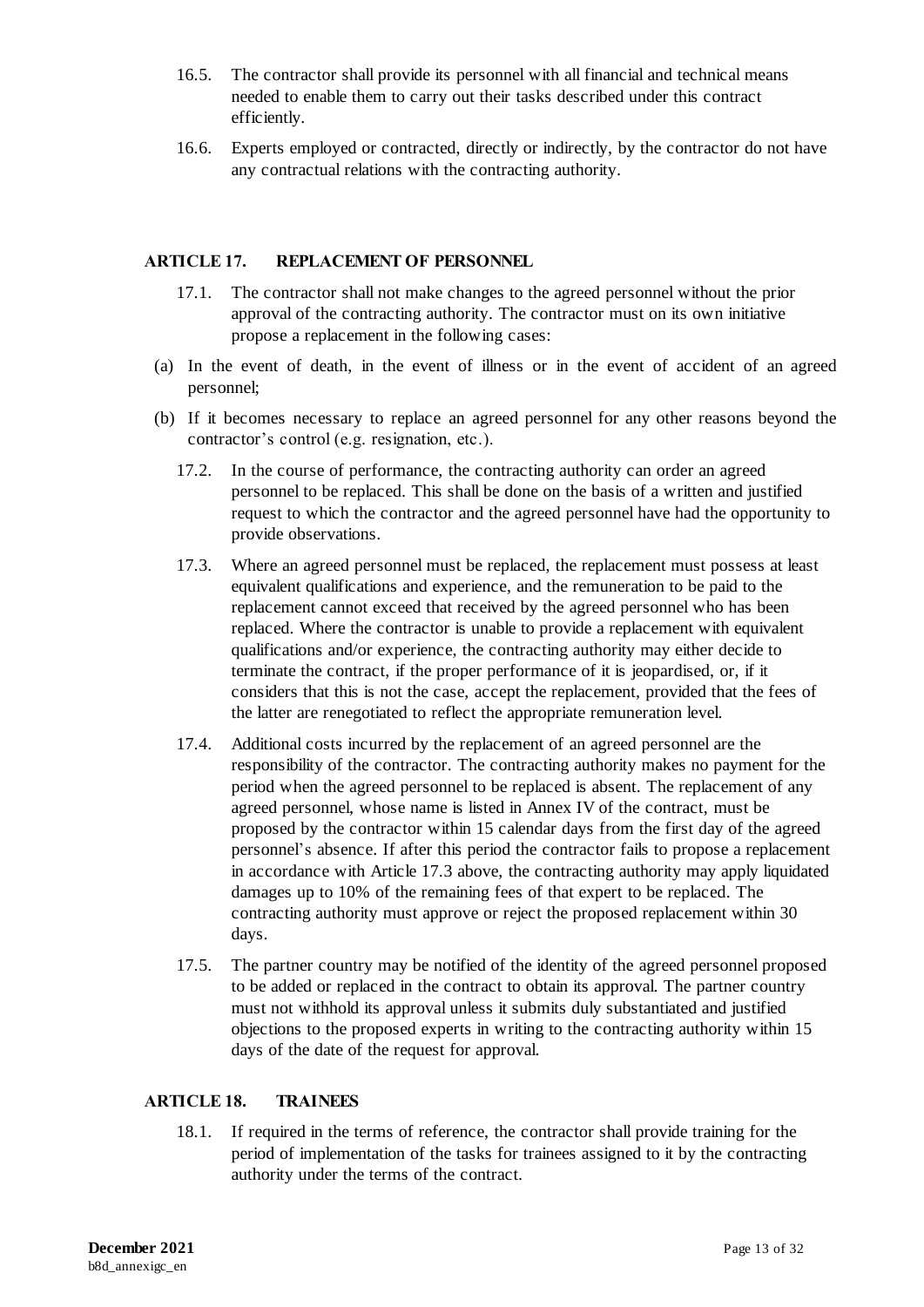- 16.5. The contractor shall provide its personnel with all financial and technical means needed to enable them to carry out their tasks described under this contract efficiently.
- 16.6. Experts employed or contracted, directly or indirectly, by the contractor do not have any contractual relations with the contracting authority.

#### <span id="page-13-0"></span>**ARTICLE 17. REPLACEMENT OF PERSONNEL**

- 17.1. The contractor shall not make changes to the agreed personnel without the prior approval of the contracting authority. The contractor must on its own initiative propose a replacement in the following cases:
- (a) In the event of death, in the event of illness or in the event of accident of an agreed personnel;
- (b) If it becomes necessary to replace an agreed personnel for any other reasons beyond the contractor's control (e.g. resignation, etc.).
	- 17.2. In the course of performance, the contracting authority can order an agreed personnel to be replaced. This shall be done on the basis of a written and justified request to which the contractor and the agreed personnel have had the opportunity to provide observations.
	- 17.3. Where an agreed personnel must be replaced, the replacement must possess at least equivalent qualifications and experience, and the remuneration to be paid to the replacement cannot exceed that received by the agreed personnel who has been replaced. Where the contractor is unable to provide a replacement with equivalent qualifications and/or experience, the contracting authority may either decide to terminate the contract, if the proper performance of it is jeopardised, or, if it considers that this is not the case, accept the replacement, provided that the fees of the latter are renegotiated to reflect the appropriate remuneration level.
	- 17.4. Additional costs incurred by the replacement of an agreed personnel are the responsibility of the contractor. The contracting authority makes no payment for the period when the agreed personnel to be replaced is absent. The replacement of any agreed personnel, whose name is listed in Annex IV of the contract, must be proposed by the contractor within 15 calendar days from the first day of the agreed personnel's absence. If after this period the contractor fails to propose a replacement in accordance with Article 17.3 above, the contracting authority may apply liquidated damages up to 10% of the remaining fees of that expert to be replaced. The contracting authority must approve or reject the proposed replacement within 30 days.
	- 17.5. The partner country may be notified of the identity of the agreed personnel proposed to be added or replaced in the contract to obtain its approval. The partner country must not withhold its approval unless it submits duly substantiated and justified objections to the proposed experts in writing to the contracting authority within 15 days of the date of the request for approval.

### <span id="page-13-1"></span>**ARTICLE 18. TRAINEES**

18.1. If required in the terms of reference, the contractor shall provide training for the period of implementation of the tasks for trainees assigned to it by the contracting authority under the terms of the contract.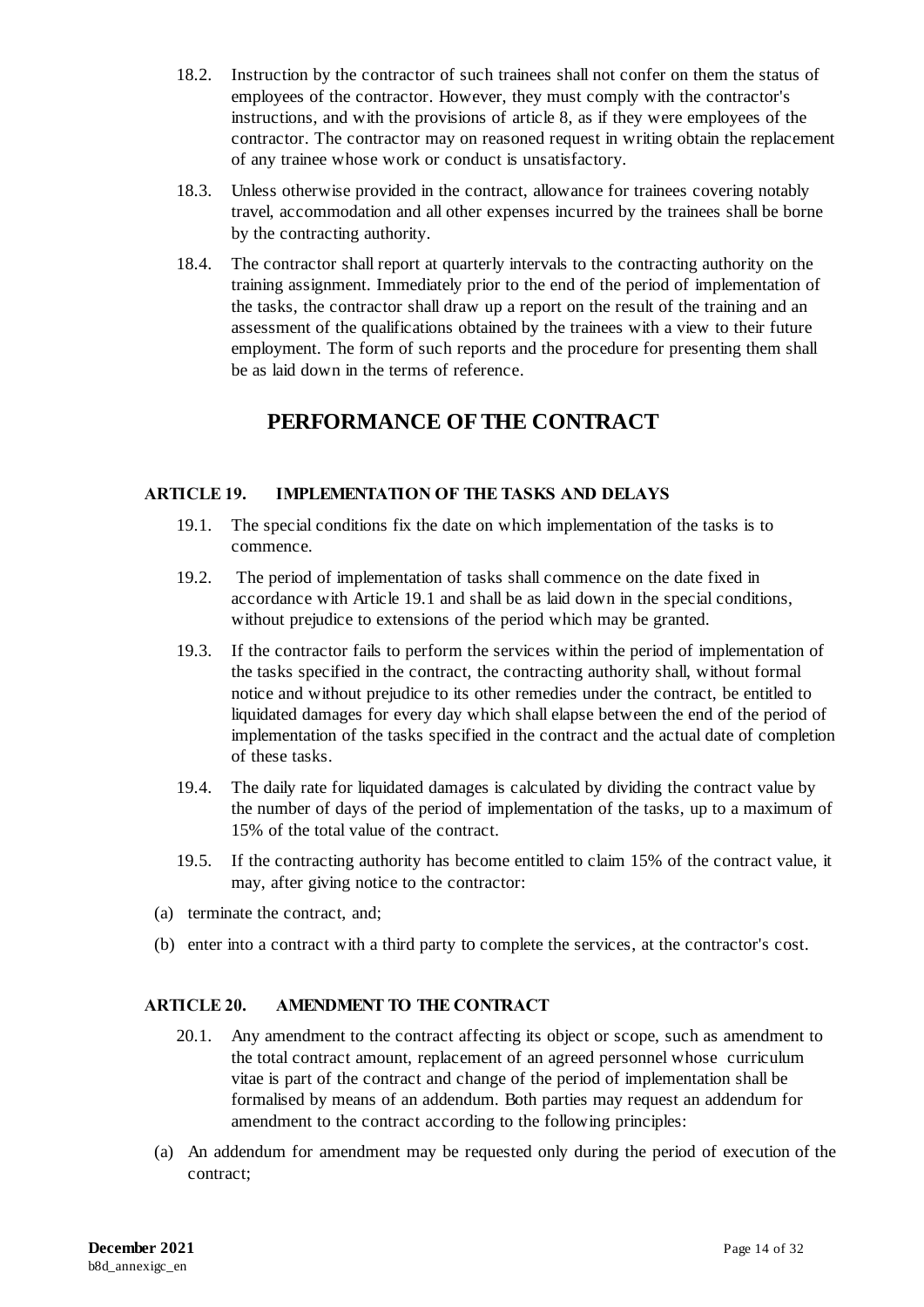- 18.2. Instruction by the contractor of such trainees shall not confer on them the status of employees of the contractor. However, they must comply with the contractor's instructions, and with the provisions of article 8, as if they were employees of the contractor. The contractor may on reasoned request in writing obtain the replacement of any trainee whose work or conduct is unsatisfactory.
- 18.3. Unless otherwise provided in the contract, allowance for trainees covering notably travel, accommodation and all other expenses incurred by the trainees shall be borne by the contracting authority.
- 18.4. The contractor shall report at quarterly intervals to the contracting authority on the training assignment. Immediately prior to the end of the period of implementation of the tasks, the contractor shall draw up a report on the result of the training and an assessment of the qualifications obtained by the trainees with a view to their future employment. The form of such reports and the procedure for presenting them shall be as laid down in the terms of reference.

# **PERFORMANCE OF THE CONTRACT**

### <span id="page-14-0"></span>**ARTICLE 19. IMPLEMENTATION OF THE TASKS AND DELAYS**

- 19.1. The special conditions fix the date on which implementation of the tasks is to commence.
- 19.2. The period of implementation of tasks shall commence on the date fixed in accordance with Article 19.1 and shall be as laid down in the special conditions, without prejudice to extensions of the period which may be granted.
- 19.3. If the contractor fails to perform the services within the period of implementation of the tasks specified in the contract, the contracting authority shall, without formal notice and without prejudice to its other remedies under the contract, be entitled to liquidated damages for every day which shall elapse between the end of the period of implementation of the tasks specified in the contract and the actual date of completion of these tasks.
- 19.4. The daily rate for liquidated damages is calculated by dividing the contract value by the number of days of the period of implementation of the tasks, up to a maximum of 15% of the total value of the contract.
- 19.5. If the contracting authority has become entitled to claim 15% of the contract value, it may, after giving notice to the contractor:
- (a) terminate the contract, and;
- (b) enter into a contract with a third party to complete the services, at the contractor's cost.

### <span id="page-14-1"></span>**ARTICLE 20. AMENDMENT TO THE CONTRACT**

- 20.1. Any amendment to the contract affecting its object or scope, such as amendment to the total contract amount, replacement of an agreed personnel whose curriculum vitae is part of the contract and change of the period of implementation shall be formalised by means of an addendum. Both parties may request an addendum for amendment to the contract according to the following principles:
- (a) An addendum for amendment may be requested only during the period of execution of the contract;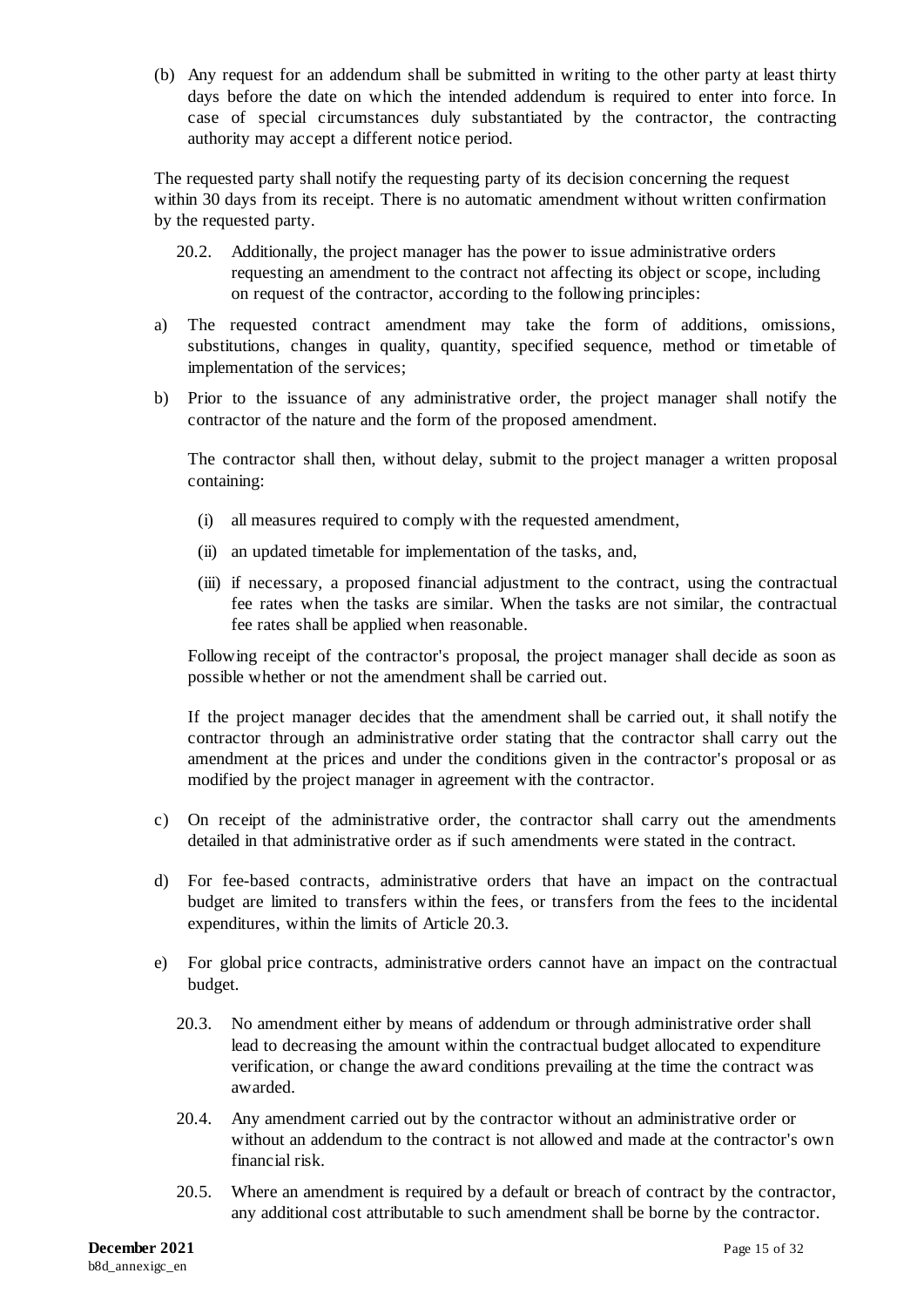(b) Any request for an addendum shall be submitted in writing to the other party at least thirty days before the date on which the intended addendum is required to enter into force. In case of special circumstances duly substantiated by the contractor, the contracting authority may accept a different notice period.

The requested party shall notify the requesting party of its decision concerning the request within 30 days from its receipt. There is no automatic amendment without written confirmation by the requested party.

- 20.2. Additionally, the project manager has the power to issue administrative orders requesting an amendment to the contract not affecting its object or scope, including on request of the contractor, according to the following principles:
- a) The requested contract amendment may take the form of additions, omissions, substitutions, changes in quality, quantity, specified sequence, method or timetable of implementation of the services;
- b) Prior to the issuance of any administrative order, the project manager shall notify the contractor of the nature and the form of the proposed amendment.

The contractor shall then, without delay, submit to the project manager a written proposal containing:

- (i) all measures required to comply with the requested amendment,
- (ii) an updated timetable for implementation of the tasks, and,
- (iii) if necessary, a proposed financial adjustment to the contract, using the contractual fee rates when the tasks are similar. When the tasks are not similar, the contractual fee rates shall be applied when reasonable.

Following receipt of the contractor's proposal, the project manager shall decide as soon as possible whether or not the amendment shall be carried out.

If the project manager decides that the amendment shall be carried out, it shall notify the contractor through an administrative order stating that the contractor shall carry out the amendment at the prices and under the conditions given in the contractor's proposal or as modified by the project manager in agreement with the contractor.

- c) On receipt of the administrative order, the contractor shall carry out the amendments detailed in that administrative order as if such amendments were stated in the contract.
- d) For fee-based contracts, administrative orders that have an impact on the contractual budget are limited to transfers within the fees, or transfers from the fees to the incidental expenditures, within the limits of Article 20.3.
- e) For global price contracts, administrative orders cannot have an impact on the contractual budget.
	- 20.3. No amendment either by means of addendum or through administrative order shall lead to decreasing the amount within the contractual budget allocated to expenditure verification, or change the award conditions prevailing at the time the contract was awarded.
	- 20.4. Any amendment carried out by the contractor without an administrative order or without an addendum to the contract is not allowed and made at the contractor's own financial risk.
	- 20.5. Where an amendment is required by a default or breach of contract by the contractor, any additional cost attributable to such amendment shall be borne by the contractor.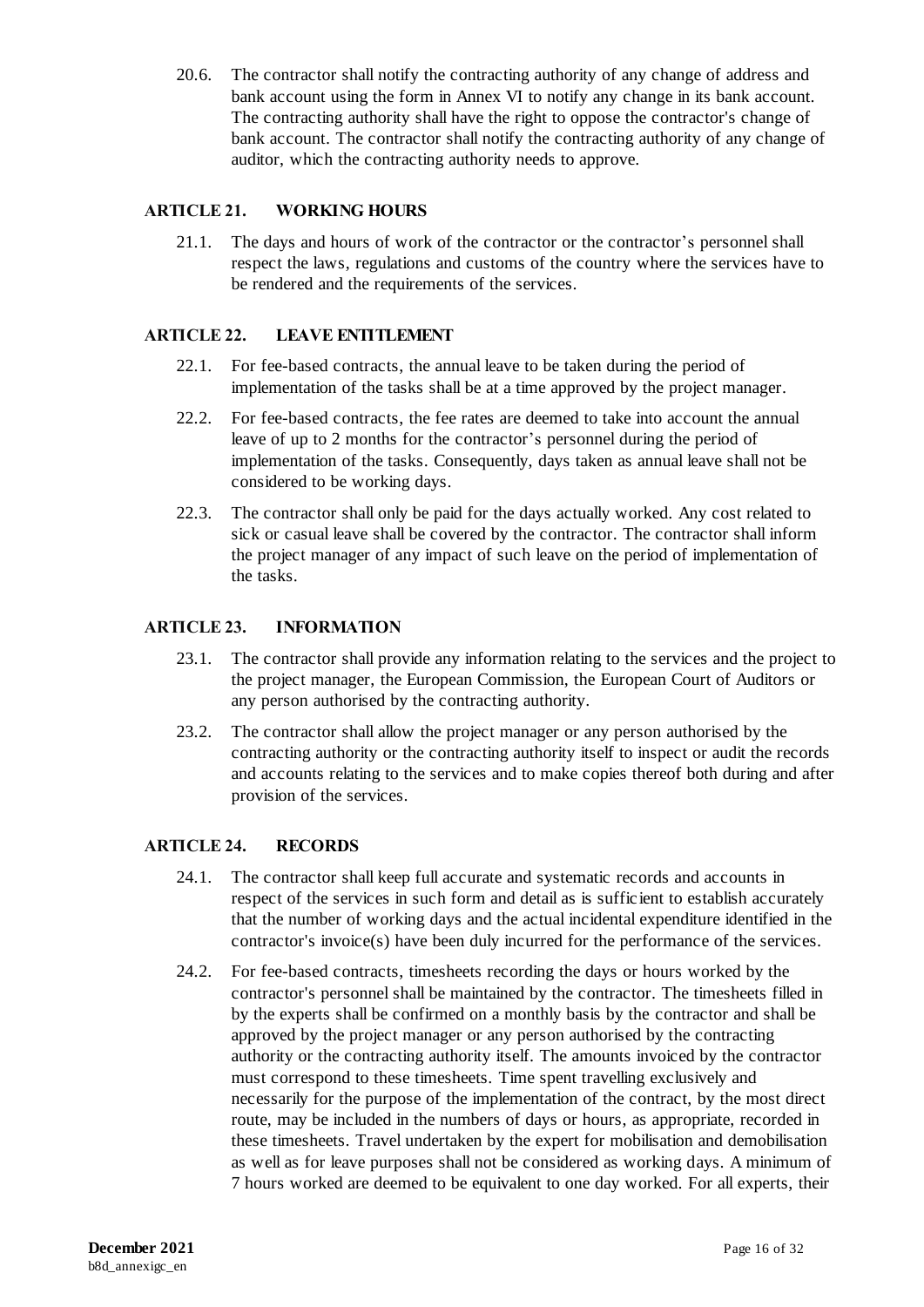20.6. The contractor shall notify the contracting authority of any change of address and bank account using the form in Annex VI to notify any change in its bank account. The contracting authority shall have the right to oppose the contractor's change of bank account. The contractor shall notify the contracting authority of any change of auditor, which the contracting authority needs to approve.

## <span id="page-16-0"></span>**ARTICLE 21. WORKING HOURS**

21.1. The days and hours of work of the contractor or the contractor's personnel shall respect the laws, regulations and customs of the country where the services have to be rendered and the requirements of the services.

## <span id="page-16-1"></span>**ARTICLE 22. LEAVE ENTITLEMENT**

- 22.1. For fee-based contracts, the annual leave to be taken during the period of implementation of the tasks shall be at a time approved by the project manager.
- 22.2. For fee-based contracts, the fee rates are deemed to take into account the annual leave of up to 2 months for the contractor's personnel during the period of implementation of the tasks. Consequently, days taken as annual leave shall not be considered to be working days.
- 22.3. The contractor shall only be paid for the days actually worked. Any cost related to sick or casual leave shall be covered by the contractor. The contractor shall inform the project manager of any impact of such leave on the period of implementation of the tasks.

### <span id="page-16-2"></span>**ARTICLE 23. INFORMATION**

- 23.1. The contractor shall provide any information relating to the services and the project to the project manager, the European Commission, the European Court of Auditors or any person authorised by the contracting authority.
- 23.2. The contractor shall allow the project manager or any person authorised by the contracting authority or the contracting authority itself to inspect or audit the records and accounts relating to the services and to make copies thereof both during and after provision of the services.

### <span id="page-16-3"></span>**ARTICLE 24. RECORDS**

- 24.1. The contractor shall keep full accurate and systematic records and accounts in respect of the services in such form and detail as is sufficient to establish accurately that the number of working days and the actual incidental expenditure identified in the contractor's invoice(s) have been duly incurred for the performance of the services.
- <span id="page-16-4"></span>24.2. For fee-based contracts, timesheets recording the days or hours worked by the contractor's personnel shall be maintained by the contractor. The timesheets filled in by the experts shall be confirmed on a monthly basis by the contractor and shall be approved by the project manager or any person authorised by the contracting authority or the contracting authority itself. The amounts invoiced by the contractor must correspond to these timesheets. Time spent travelling exclusively and necessarily for the purpose of the implementation of the contract, by the most direct route, may be included in the numbers of days or hours, as appropriate, recorded in these timesheets. Travel undertaken by the expert for mobilisation and demobilisation as well as for leave purposes shall not be considered as working days. A minimum of 7 hours worked are deemed to be equivalent to one day worked. For all experts, their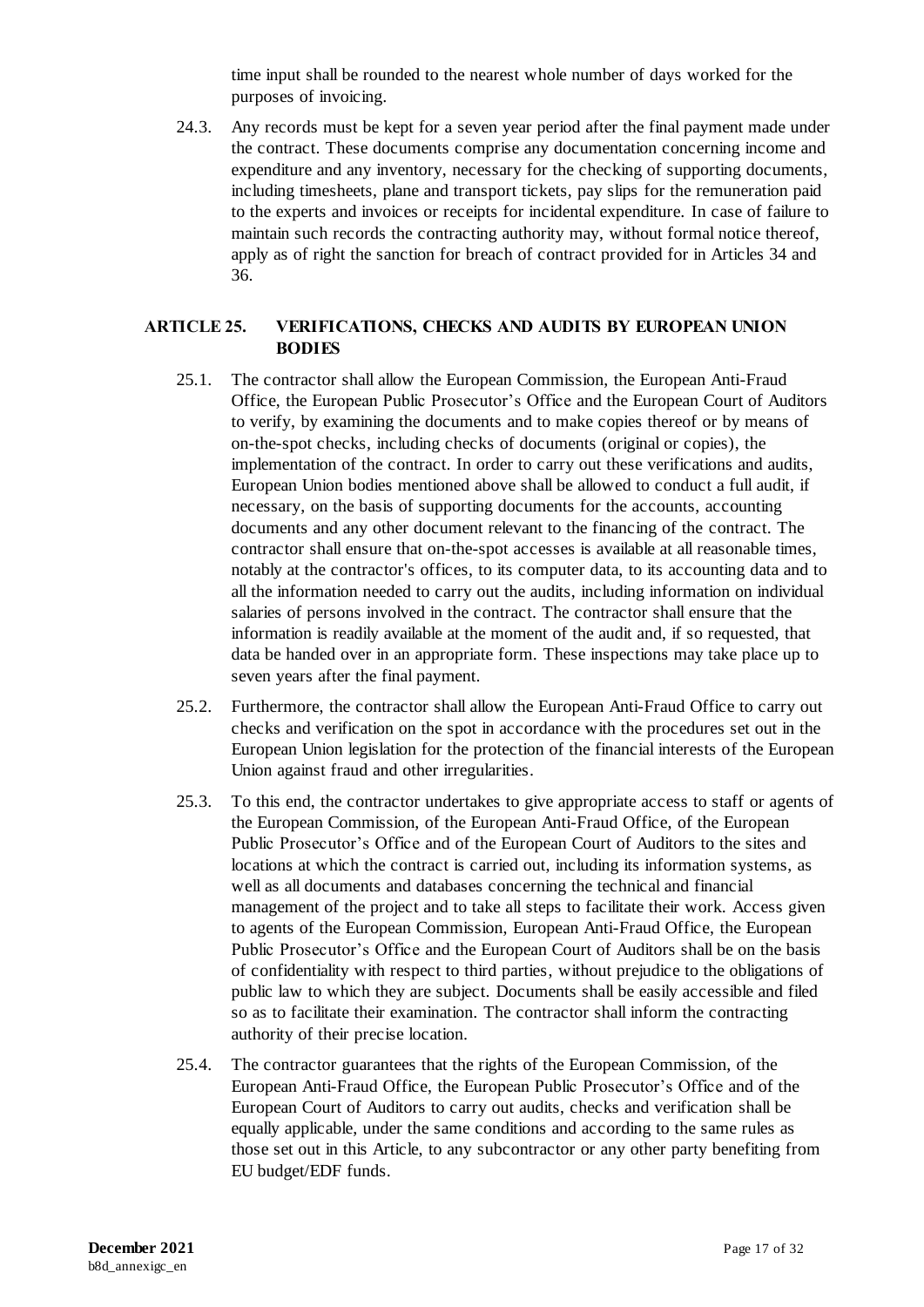time input shall be rounded to the nearest whole number of days worked for the purposes of invoicing.

24.3. Any records must be kept for a seven year period after the final payment made under the contract. These documents comprise any documentation concerning income and expenditure and any inventory, necessary for the checking of supporting documents, including timesheets, plane and transport tickets, pay slips for the remuneration paid to the experts and invoices or receipts for incidental expenditure. In case of failure to maintain such records the contracting authority may, without formal notice thereof, apply as of right the sanction for breach of contract provided for in Articles 34 and 36.

### <span id="page-17-0"></span>**ARTICLE 25. VERIFICATIONS, CHECKS AND AUDITS BY EUROPEAN UNION BODIES**

- 25.1. The contractor shall allow the European Commission, the European Anti-Fraud Office, the European Public Prosecutor's Office and the European Court of Auditors to verify, by examining the documents and to make copies thereof or by means of on-the-spot checks, including checks of documents (original or copies), the implementation of the contract. In order to carry out these verifications and audits, European Union bodies mentioned above shall be allowed to conduct a full audit, if necessary, on the basis of supporting documents for the accounts, accounting documents and any other document relevant to the financing of the contract. The contractor shall ensure that on-the-spot accesses is available at all reasonable times, notably at the contractor's offices, to its computer data, to its accounting data and to all the information needed to carry out the audits, including information on individual salaries of persons involved in the contract. The contractor shall ensure that the information is readily available at the moment of the audit and, if so requested, that data be handed over in an appropriate form. These inspections may take place up to seven years after the final payment.
- 25.2. Furthermore, the contractor shall allow the European Anti-Fraud Office to carry out checks and verification on the spot in accordance with the procedures set out in the European Union legislation for the protection of the financial interests of the European Union against fraud and other irregularities.
- 25.3. To this end, the contractor undertakes to give appropriate access to staff or agents of the European Commission, of the European Anti-Fraud Office, of the European Public Prosecutor's Office and of the European Court of Auditors to the sites and locations at which the contract is carried out, including its information systems, as well as all documents and databases concerning the technical and financial management of the project and to take all steps to facilitate their work. Access given to agents of the European Commission, European Anti-Fraud Office, the European Public Prosecutor's Office and the European Court of Auditors shall be on the basis of confidentiality with respect to third parties, without prejudice to the obligations of public law to which they are subject. Documents shall be easily accessible and filed so as to facilitate their examination. The contractor shall inform the contracting authority of their precise location.
- 25.4. The contractor guarantees that the rights of the European Commission, of the European Anti-Fraud Office, the European Public Prosecutor's Office and of the European Court of Auditors to carry out audits, checks and verification shall be equally applicable, under the same conditions and according to the same rules as those set out in this Article, to any subcontractor or any other party benefiting from EU budget/EDF funds.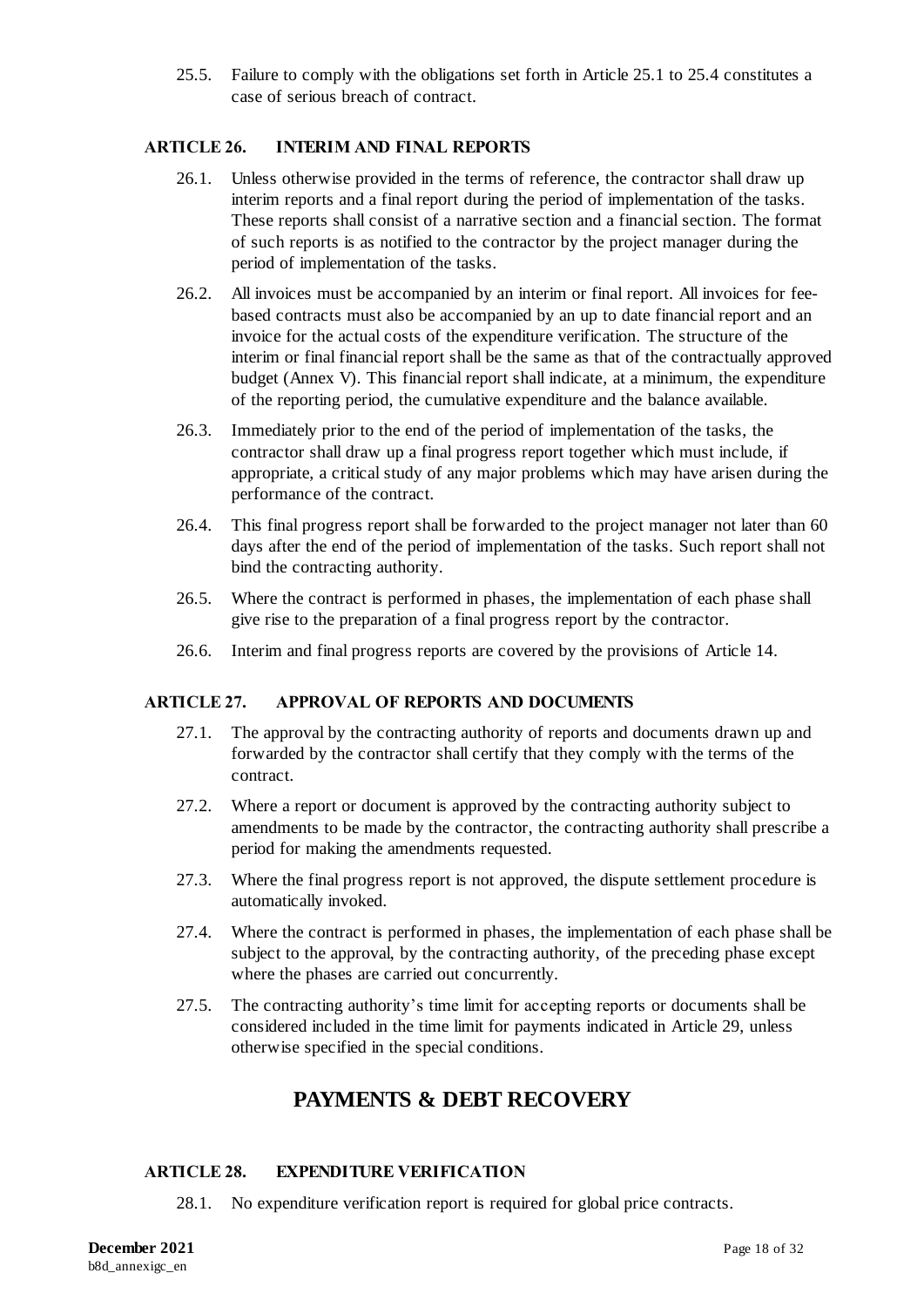25.5. Failure to comply with the obligations set forth in Article 25.1 to 25.4 constitutes a case of serious breach of contract.

### <span id="page-18-0"></span>**ARTICLE 26. INTERIM AND FINAL REPORTS**

- 26.1. Unless otherwise provided in the terms of reference, the contractor shall draw up interim reports and a final report during the period of implementation of the tasks. These reports shall consist of a narrative section and a financial section. The format of such reports is as notified to the contractor by the project manager during the period of implementation of the tasks.
- 26.2. All invoices must be accompanied by an interim or final report. All invoices for feebased contracts must also be accompanied by an up to date financial report and an invoice for the actual costs of the expenditure verification. The structure of the interim or final financial report shall be the same as that of the contractually approved budget (Annex V). This financial report shall indicate, at a minimum, the expenditure of the reporting period, the cumulative expenditure and the balance available.
- 26.3. Immediately prior to the end of the period of implementation of the tasks, the contractor shall draw up a final progress report together which must include, if appropriate, a critical study of any major problems which may have arisen during the performance of the contract.
- 26.4. This final progress report shall be forwarded to the project manager not later than 60 days after the end of the period of implementation of the tasks. Such report shall not bind the contracting authority.
- 26.5. Where the contract is performed in phases, the implementation of each phase shall give rise to the preparation of a final progress report by the contractor.
- 26.6. Interim and final progress reports are covered by the provisions of Article 14.

### <span id="page-18-1"></span>**ARTICLE 27. APPROVAL OF REPORTS AND DOCUMENTS**

- 27.1. The approval by the contracting authority of reports and documents drawn up and forwarded by the contractor shall certify that they comply with the terms of the contract.
- 27.2. Where a report or document is approved by the contracting authority subject to amendments to be made by the contractor, the contracting authority shall prescribe a period for making the amendments requested.
- 27.3. Where the final progress report is not approved, the dispute settlement procedure is automatically invoked.
- 27.4. Where the contract is performed in phases, the implementation of each phase shall be subject to the approval, by the contracting authority, of the preceding phase except where the phases are carried out concurrently.
- 27.5. The contracting authority's time limit for accepting reports or documents shall be considered included in the time limit for payments indicated in Article 29, unless otherwise specified in the special conditions.

# **PAYMENTS & DEBT RECOVERY**

### <span id="page-18-2"></span>**ARTICLE 28. EXPENDITURE VERIFICATION**

28.1. No expenditure verification report is required for global price contracts.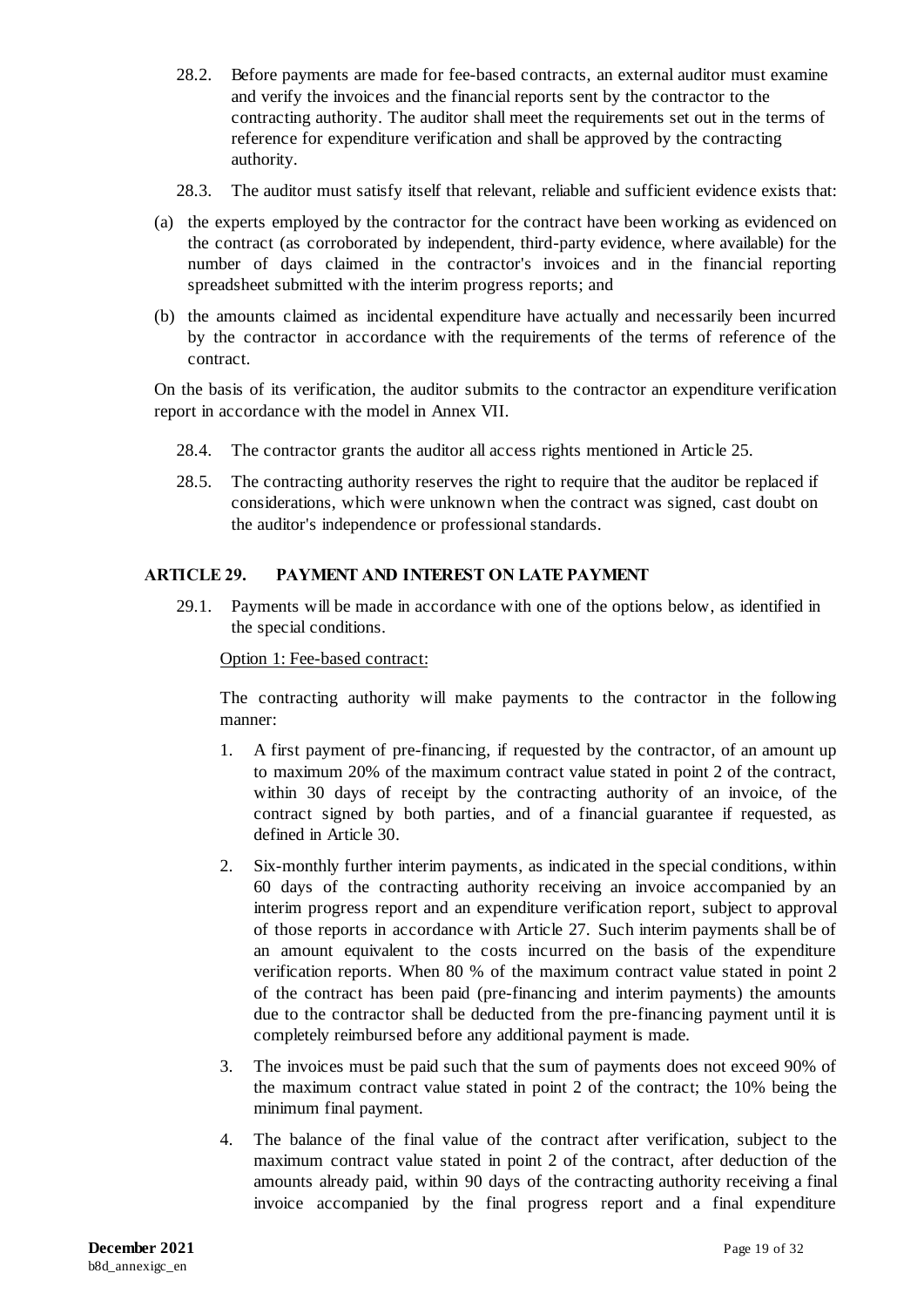- 28.2. Before payments are made for fee-based contracts, an external auditor must examine and verify the invoices and the financial reports sent by the contractor to the contracting authority. The auditor shall meet the requirements set out in the terms of reference for expenditure verification and shall be approved by the contracting authority.
- 28.3. The auditor must satisfy itself that relevant, reliable and sufficient evidence exists that:
- (a) the experts employed by the contractor for the contract have been working as evidenced on the contract (as corroborated by independent, third-party evidence, where available) for the number of days claimed in the contractor's invoices and in the financial reporting spreadsheet submitted with the interim progress reports; and
- (b) the amounts claimed as incidental expenditure have actually and necessarily been incurred by the contractor in accordance with the requirements of the terms of reference of the contract.

On the basis of its verification, the auditor submits to the contractor an expenditure verification report in accordance with the model in Annex VII.

- 28.4. The contractor grants the auditor all access rights mentioned in Article 25.
- 28.5. The contracting authority reserves the right to require that the auditor be replaced if considerations, which were unknown when the contract was signed, cast doubt on the auditor's independence or professional standards.

### <span id="page-19-0"></span>**ARTICLE 29. PAYMENT AND INTEREST ON LATE PAYMENT**

29.1. Payments will be made in accordance with one of the options below, as identified in the special conditions.

#### Option 1: Fee-based contract:

The contracting authority will make payments to the contractor in the following manner:

- 1. A first payment of pre-financing, if requested by the contractor, of an amount up to maximum 20% of the maximum contract value stated in point 2 of the contract, within 30 days of receipt by the contracting authority of an invoice, of the contract signed by both parties, and of a financial guarantee if requested, as defined in Article 30.
- 2. Six-monthly further interim payments, as indicated in the special conditions, within 60 days of the contracting authority receiving an invoice accompanied by an interim progress report and an expenditure verification report, subject to approval of those reports in accordance with Article 27. Such interim payments shall be of an amount equivalent to the costs incurred on the basis of the expenditure verification reports. When 80 % of the maximum contract value stated in point 2 of the contract has been paid (pre-financing and interim payments) the amounts due to the contractor shall be deducted from the pre-financing payment until it is completely reimbursed before any additional payment is made.
- 3. The invoices must be paid such that the sum of payments does not exceed 90% of the maximum contract value stated in point 2 of the contract; the 10% being the minimum final payment.
- 4. The balance of the final value of the contract after verification, subject to the maximum contract value stated in point 2 of the contract, after deduction of the amounts already paid, within 90 days of the contracting authority receiving a final invoice accompanied by the final progress report and a final expenditure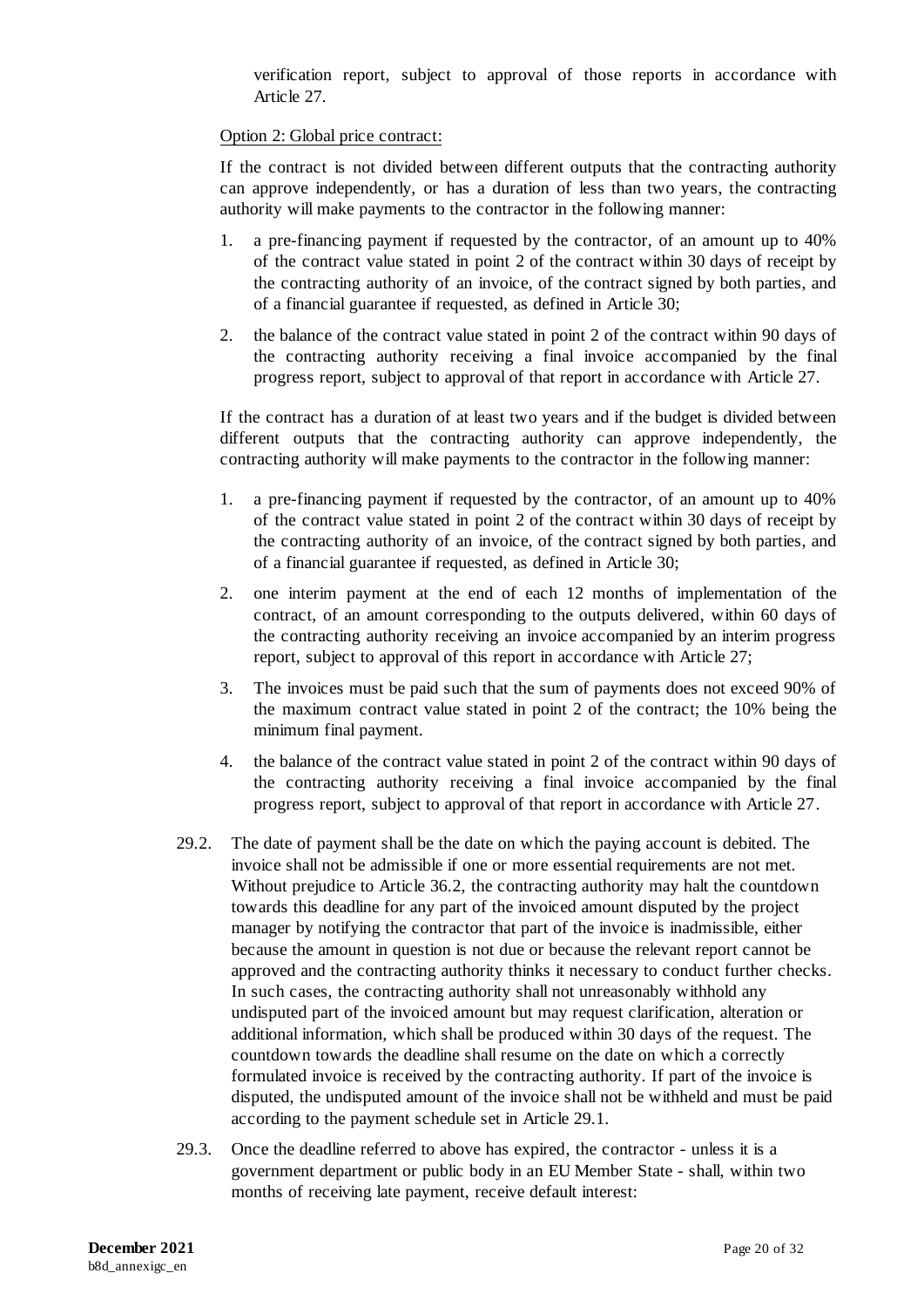verification report, subject to approval of those reports in accordance with Article 27.

#### Option 2: Global price contract:

If the contract is not divided between different outputs that the contracting authority can approve independently, or has a duration of less than two years, the contracting authority will make payments to the contractor in the following manner:

- 1. a pre-financing payment if requested by the contractor, of an amount up to 40% of the contract value stated in point 2 of the contract within 30 days of receipt by the contracting authority of an invoice, of the contract signed by both parties, and of a financial guarantee if requested, as defined in Article 30;
- 2. the balance of the contract value stated in point 2 of the contract within 90 days of the contracting authority receiving a final invoice accompanied by the final progress report, subject to approval of that report in accordance with Article 27.

If the contract has a duration of at least two years and if the budget is divided between different outputs that the contracting authority can approve independently, the contracting authority will make payments to the contractor in the following manner:

- 1. a pre-financing payment if requested by the contractor, of an amount up to 40% of the contract value stated in point 2 of the contract within 30 days of receipt by the contracting authority of an invoice, of the contract signed by both parties, and of a financial guarantee if requested, as defined in Article 30;
- 2. one interim payment at the end of each 12 months of implementation of the contract, of an amount corresponding to the outputs delivered, within 60 days of the contracting authority receiving an invoice accompanied by an interim progress report, subject to approval of this report in accordance with Article 27;
- 3. The invoices must be paid such that the sum of payments does not exceed 90% of the maximum contract value stated in point 2 of the contract; the 10% being the minimum final payment.
- 4. the balance of the contract value stated in point 2 of the contract within 90 days of the contracting authority receiving a final invoice accompanied by the final progress report, subject to approval of that report in accordance with Article 27.
- 29.2. The date of payment shall be the date on which the paying account is debited. The invoice shall not be admissible if one or more essential requirements are not met. Without prejudice to Article [36.2,](#page-25-1) the contracting authority may halt the countdown towards this deadline for any part of the invoiced amount disputed by the project manager by notifying the contractor that part of the invoice is inadmissible, either because the amount in question is not due or because the relevant report cannot be approved and the contracting authority thinks it necessary to conduct further checks. In such cases, the contracting authority shall not unreasonably withhold any undisputed part of the invoiced amount but may request clarification, alteration or additional information, which shall be produced within 30 days of the request. The countdown towards the deadline shall resume on the date on which a correctly formulated invoice is received by the contracting authority. If part of the invoice is disputed, the undisputed amount of the invoice shall not be withheld and must be paid according to the payment schedule set in Article 29.1.
- 29.3. Once the deadline referred to above has expired, the contractor unless it is a government department or public body in an EU Member State - shall, within two months of receiving late payment, receive default interest: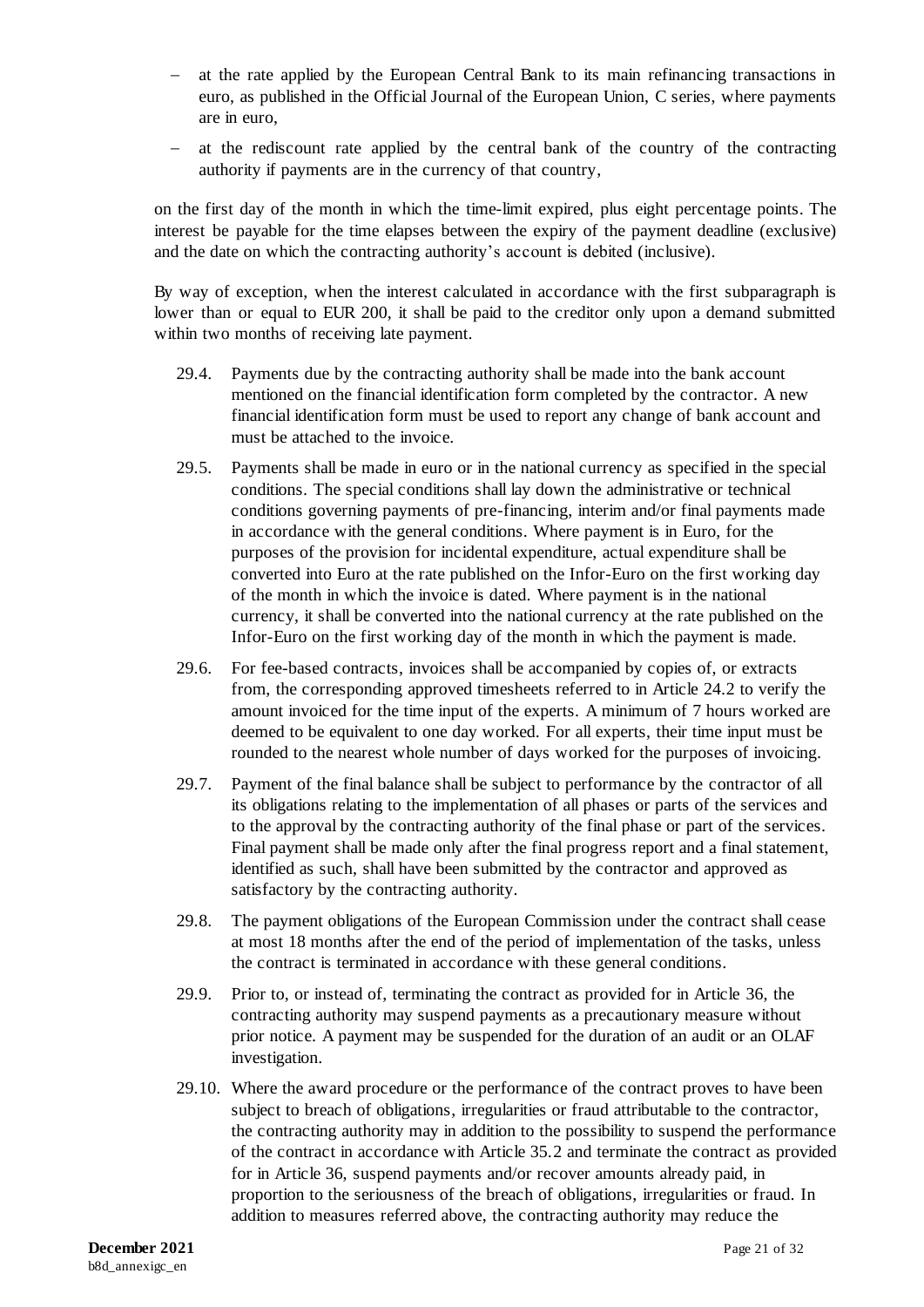- at the rate applied by the European Central Bank to its main refinancing transactions in euro, as published in the Official Journal of the European Union, C series, where payments are in euro,
- at the rediscount rate applied by the central bank of the country of the contracting authority if payments are in the currency of that country,

on the first day of the month in which the time-limit expired, plus eight percentage points. The interest be payable for the time elapses between the expiry of the payment deadline (exclusive) and the date on which the contracting authority's account is debited (inclusive).

By way of exception, when the interest calculated in accordance with the first subparagraph is lower than or equal to EUR 200, it shall be paid to the creditor only upon a demand submitted within two months of receiving late payment.

- 29.4. Payments due by the contracting authority shall be made into the bank account mentioned on the financial identification form completed by the contractor. A new financial identification form must be used to report any change of bank account and must be attached to the invoice.
- 29.5. Payments shall be made in euro or in the national currency as specified in the special conditions. The special conditions shall lay down the administrative or technical conditions governing payments of pre-financing, interim and/or final payments made in accordance with the general conditions. Where payment is in Euro, for the purposes of the provision for incidental expenditure, actual expenditure shall be converted into Euro at the rate published on the Infor-Euro on the first working day of the month in which the invoice is dated. Where payment is in the national currency, it shall be converted into the national currency at the rate published on the Infor-Euro on the first working day of the month in which the payment is made.
- 29.6. For fee-based contracts, invoices shall be accompanied by copies of, or extracts from, the corresponding approved timesheets referred to in Articl[e 24.2](#page-16-4) to verify the amount invoiced for the time input of the experts. A minimum of 7 hours worked are deemed to be equivalent to one day worked. For all experts, their time input must be rounded to the nearest whole number of days worked for the purposes of invoicing.
- 29.7. Payment of the final balance shall be subject to performance by the contractor of all its obligations relating to the implementation of all phases or parts of the services and to the approval by the contracting authority of the final phase or part of the services. Final payment shall be made only after the final progress report and a final statement, identified as such, shall have been submitted by the contractor and approved as satisfactory by the contracting authority.
- 29.8. The payment obligations of the European Commission under the contract shall cease at most 18 months after the end of the period of implementation of the tasks, unless the contract is terminated in accordance with these general conditions.
- 29.9. Prior to, or instead of, terminating the contract as provided for in Article 36, the contracting authority may suspend payments as a precautionary measure without prior notice. A payment may be suspended for the duration of an audit or an OLAF investigation.
- 29.10. Where the award procedure or the performance of the contract proves to have been subject to breach of obligations, irregularities or fraud attributable to the contractor, the contracting authority may in addition to the possibility to suspend the performance of the contract in accordance with Article 35.2 and terminate the contract as provided for in Article 36, suspend payments and/or recover amounts already paid, in proportion to the seriousness of the breach of obligations, irregularities or fraud. In addition to measures referred above, the contracting authority may reduce the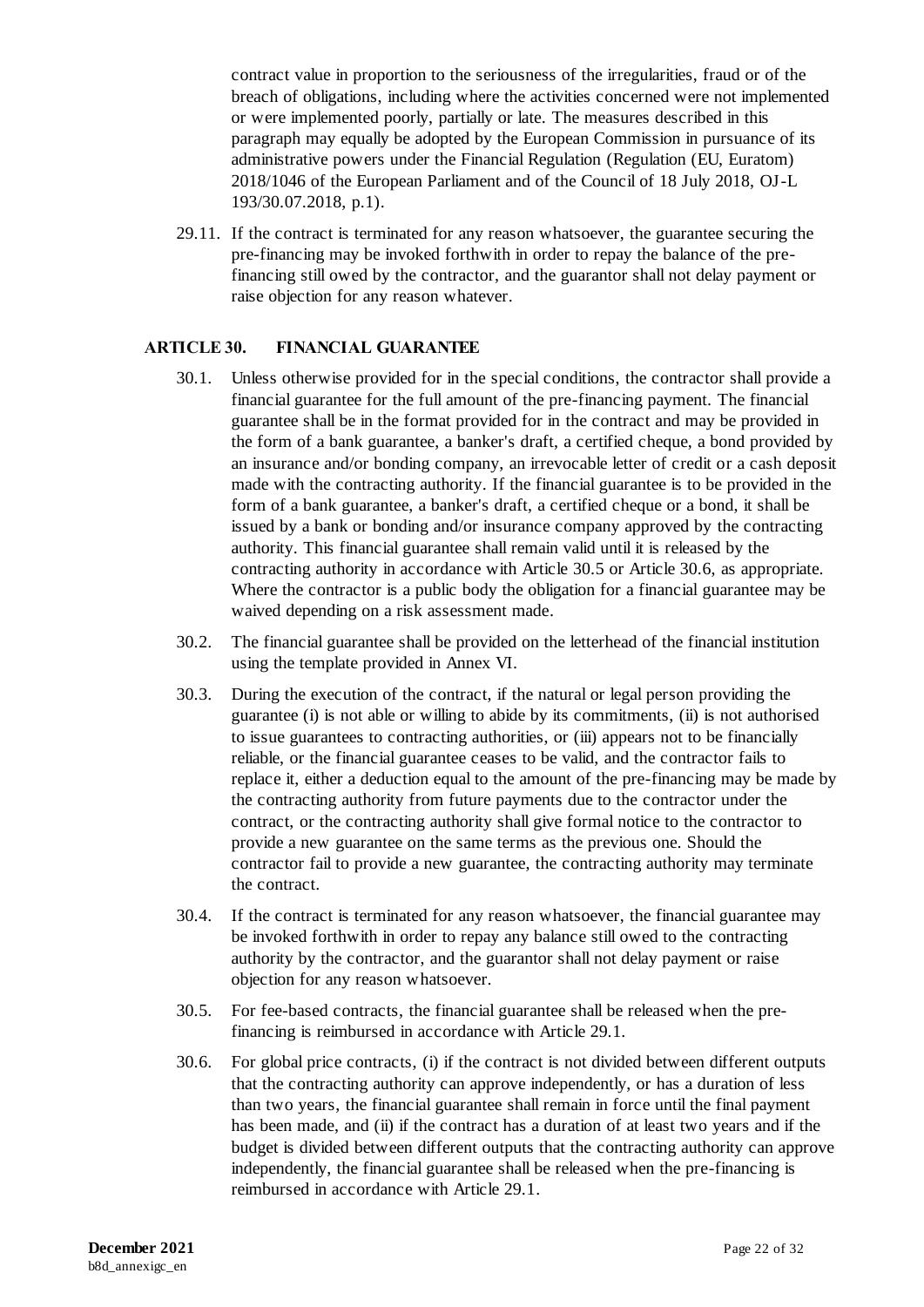contract value in proportion to the seriousness of the irregularities, fraud or of the breach of obligations, including where the activities concerned were not implemented or were implemented poorly, partially or late. The measures described in this paragraph may equally be adopted by the European Commission in pursuance of its administrative powers under the Financial Regulation (Regulation (EU, Euratom) 2018/1046 of the European Parliament and of the Council of 18 July 2018, OJ-L 193/30.07.2018, p.1).

29.11. If the contract is terminated for any reason whatsoever, the guarantee securing the pre-financing may be invoked forthwith in order to repay the balance of the prefinancing still owed by the contractor, and the guarantor shall not delay payment or raise objection for any reason whatever.

#### <span id="page-22-0"></span>**ARTICLE 30. FINANCIAL GUARANTEE**

- 30.1. Unless otherwise provided for in the special conditions, the contractor shall provide a financial guarantee for the full amount of the pre-financing payment. The financial guarantee shall be in the format provided for in the contract and may be provided in the form of a bank guarantee, a banker's draft, a certified cheque, a bond provided by an insurance and/or bonding company, an irrevocable letter of credit or a cash deposit made with the contracting authority. If the financial guarantee is to be provided in the form of a bank guarantee, a banker's draft, a certified cheque or a bond, it shall be issued by a bank or bonding and/or insurance company approved by the contracting authority. This financial guarantee shall remain valid until it is released by the contracting authority in accordance with Article 30.5 or Article 30.6, as appropriate. Where the contractor is a public body the obligation for a financial guarantee may be waived depending on a risk assessment made.
- 30.2. The financial guarantee shall be provided on the letterhead of the financial institution using the template provided in Annex VI.
- 30.3. During the execution of the contract, if the natural or legal person providing the guarantee (i) is not able or willing to abide by its commitments, (ii) is not authorised to issue guarantees to contracting authorities, or (iii) appears not to be financially reliable, or the financial guarantee ceases to be valid, and the contractor fails to replace it, either a deduction equal to the amount of the pre-financing may be made by the contracting authority from future payments due to the contractor under the contract, or the contracting authority shall give formal notice to the contractor to provide a new guarantee on the same terms as the previous one. Should the contractor fail to provide a new guarantee, the contracting authority may terminate the contract.
- 30.4. If the contract is terminated for any reason whatsoever, the financial guarantee may be invoked forthwith in order to repay any balance still owed to the contracting authority by the contractor, and the guarantor shall not delay payment or raise objection for any reason whatsoever.
- 30.5. For fee-based contracts, the financial guarantee shall be released when the prefinancing is reimbursed in accordance with Article 29.1.
- 30.6. For global price contracts, (i) if the contract is not divided between different outputs that the contracting authority can approve independently, or has a duration of less than two years, the financial guarantee shall remain in force until the final payment has been made, and (ii) if the contract has a duration of at least two years and if the budget is divided between different outputs that the contracting authority can approve independently, the financial guarantee shall be released when the pre-financing is reimbursed in accordance with Article 29.1.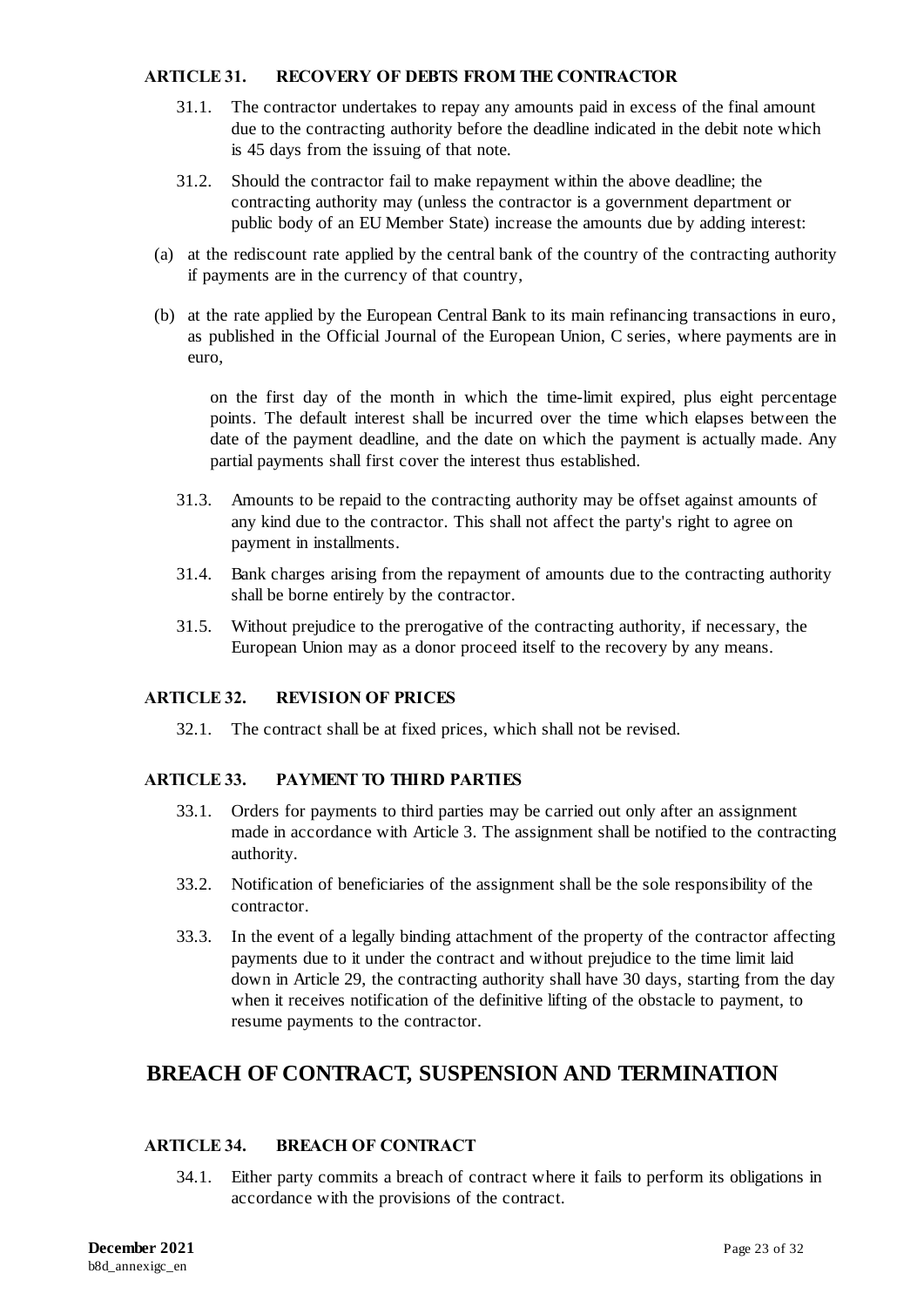#### <span id="page-23-0"></span>**ARTICLE 31. RECOVERY OF DEBTS FROM THE CONTRACTOR**

- 31.1. The contractor undertakes to repay any amounts paid in excess of the final amount due to the contracting authority before the deadline indicated in the debit note which is 45 days from the issuing of that note.
- 31.2. Should the contractor fail to make repayment within the above deadline; the contracting authority may (unless the contractor is a government department or public body of an EU Member State) increase the amounts due by adding interest:
- (a) at the rediscount rate applied by the central bank of the country of the contracting authority if payments are in the currency of that country,
- (b) at the rate applied by the European Central Bank to its main refinancing transactions in euro, as published in the Official Journal of the European Union, C series, where payments are in euro,

on the first day of the month in which the time-limit expired, plus eight percentage points. The default interest shall be incurred over the time which elapses between the date of the payment deadline, and the date on which the payment is actually made. Any partial payments shall first cover the interest thus established.

- 31.3. Amounts to be repaid to the contracting authority may be offset against amounts of any kind due to the contractor. This shall not affect the party's right to agree on payment in installments.
- 31.4. Bank charges arising from the repayment of amounts due to the contracting authority shall be borne entirely by the contractor.
- 31.5. Without prejudice to the prerogative of the contracting authority, if necessary, the European Union may as a donor proceed itself to the recovery by any means.

#### <span id="page-23-1"></span>**ARTICLE 32. REVISION OF PRICES**

32.1. The contract shall be at fixed prices, which shall not be revised.

### <span id="page-23-2"></span>**ARTICLE 33. PAYMENT TO THIRD PARTIES**

- 33.1. Orders for payments to third parties may be carried out only after an assignment made in accordance with Article 3. The assignment shall be notified to the contracting authority.
- 33.2. Notification of beneficiaries of the assignment shall be the sole responsibility of the contractor.
- 33.3. In the event of a legally binding attachment of the property of the contractor affecting payments due to it under the contract and without prejudice to the time limit laid down in Article 29, the contracting authority shall have 30 days, starting from the day when it receives notification of the definitive lifting of the obstacle to payment, to resume payments to the contractor.

## **BREACH OF CONTRACT, SUSPENSION AND TERMINATION**

### <span id="page-23-3"></span>**ARTICLE 34. BREACH OF CONTRACT**

34.1. Either party commits a breach of contract where it fails to perform its obligations in accordance with the provisions of the contract.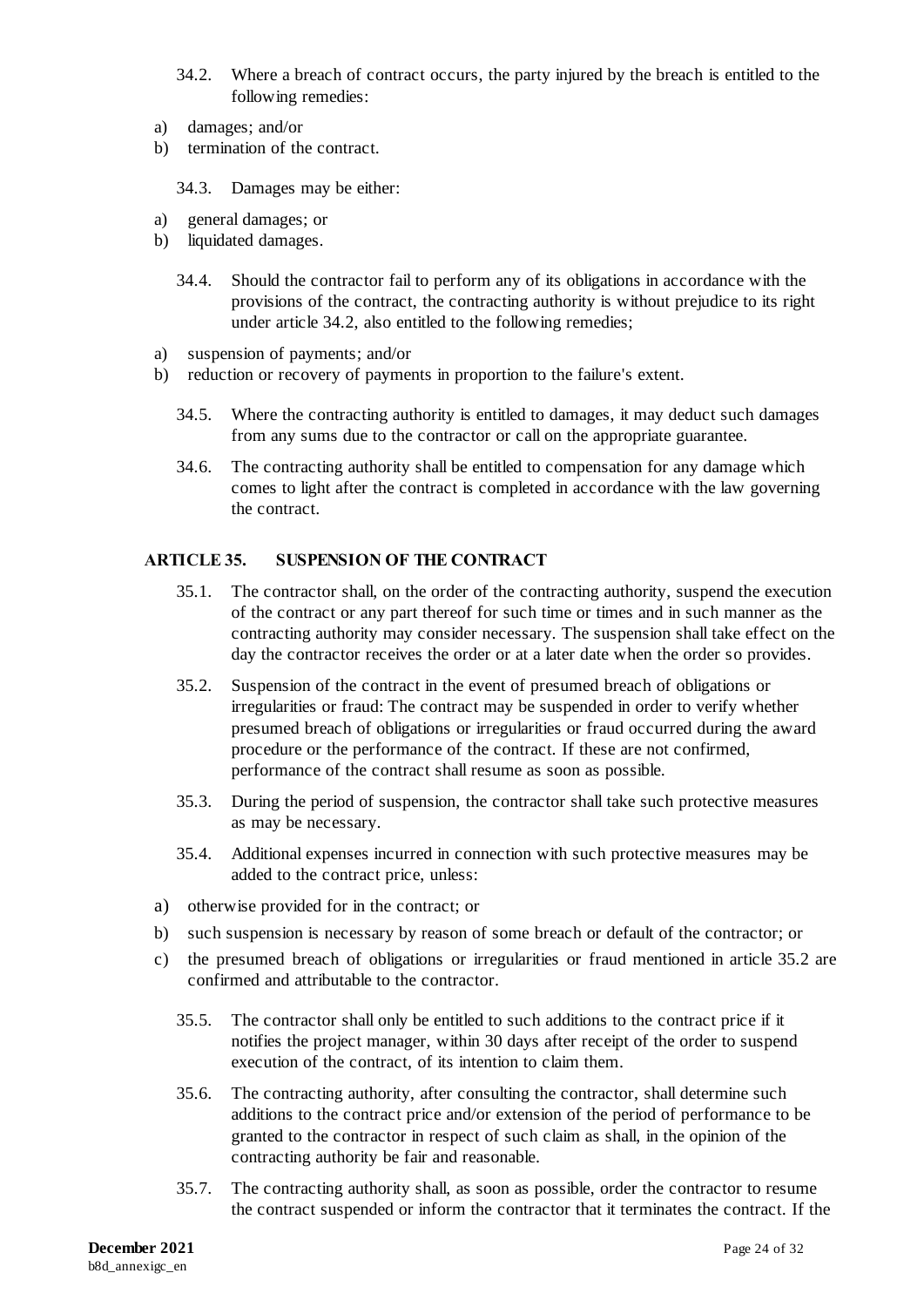- 34.2. Where a breach of contract occurs, the party injured by the breach is entitled to the following remedies:
- a) damages; and/or
- b) termination of the contract.

34.3. Damages may be either:

- a) general damages; or
- b) liquidated damages.
	- 34.4. Should the contractor fail to perform any of its obligations in accordance with the provisions of the contract, the contracting authority is without prejudice to its right under article 34.2, also entitled to the following remedies;
- a) suspension of payments; and/or
- b) reduction or recovery of payments in proportion to the failure's extent.
	- 34.5. Where the contracting authority is entitled to damages, it may deduct such damages from any sums due to the contractor or call on the appropriate guarantee.
	- 34.6. The contracting authority shall be entitled to compensation for any damage which comes to light after the contract is completed in accordance with the law governing the contract.

### <span id="page-24-0"></span>**ARTICLE 35. SUSPENSION OF THE CONTRACT**

- 35.1. The contractor shall, on the order of the contracting authority, suspend the execution of the contract or any part thereof for such time or times and in such manner as the contracting authority may consider necessary. The suspension shall take effect on the day the contractor receives the order or at a later date when the order so provides.
- 35.2. Suspension of the contract in the event of presumed breach of obligations or irregularities or fraud: The contract may be suspended in order to verify whether presumed breach of obligations or irregularities or fraud occurred during the award procedure or the performance of the contract. If these are not confirmed, performance of the contract shall resume as soon as possible.
- 35.3. During the period of suspension, the contractor shall take such protective measures as may be necessary.
- 35.4. Additional expenses incurred in connection with such protective measures may be added to the contract price, unless:
- a) otherwise provided for in the contract; or
- b) such suspension is necessary by reason of some breach or default of the contractor; or
- c) the presumed breach of obligations or irregularities or fraud mentioned in article 35.2 are confirmed and attributable to the contractor.
	- 35.5. The contractor shall only be entitled to such additions to the contract price if it notifies the project manager, within 30 days after receipt of the order to suspend execution of the contract, of its intention to claim them.
	- 35.6. The contracting authority, after consulting the contractor, shall determine such additions to the contract price and/or extension of the period of performance to be granted to the contractor in respect of such claim as shall, in the opinion of the contracting authority be fair and reasonable.
	- 35.7. The contracting authority shall, as soon as possible, order the contractor to resume the contract suspended or inform the contractor that it terminates the contract. If the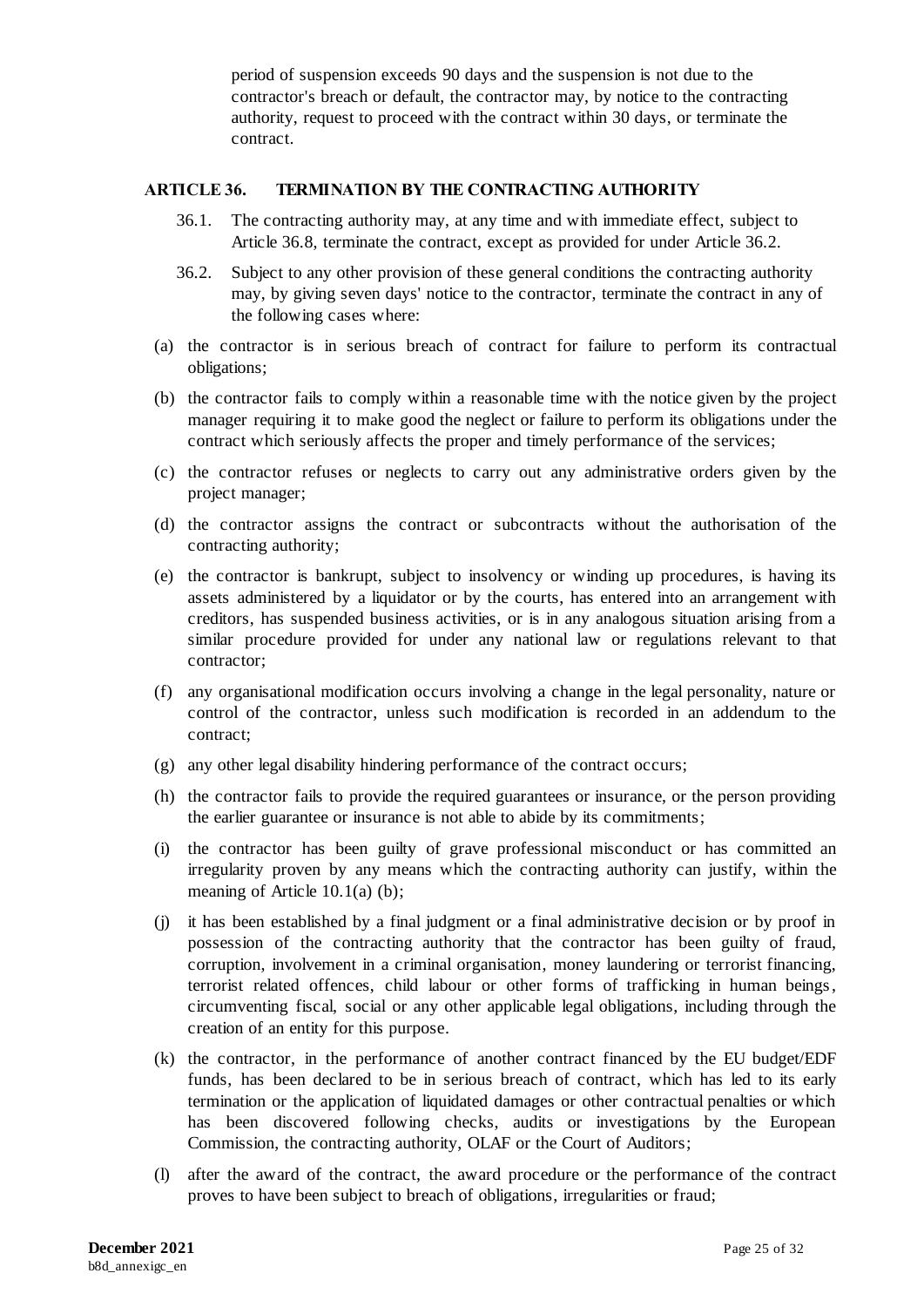period of suspension exceeds 90 days and the suspension is not due to the contractor's breach or default, the contractor may, by notice to the contracting authority, request to proceed with the contract within 30 days, or terminate the contract.

### <span id="page-25-0"></span>**ARTICLE 36. TERMINATION BY THE CONTRACTING AUTHORITY**

- 36.1. The contracting authority may, at any time and with immediate effect, subject to Article 36.8, terminate the contract, except as provided for under Article 36.2.
- <span id="page-25-1"></span>36.2. Subject to any other provision of these general conditions the contracting authority may, by giving seven days' notice to the contractor, terminate the contract in any of the following cases where:
- (a) the contractor is in serious breach of contract for failure to perform its contractual obligations;
- (b) the contractor fails to comply within a reasonable time with the notice given by the project manager requiring it to make good the neglect or failure to perform its obligations under the contract which seriously affects the proper and timely performance of the services;
- (c) the contractor refuses or neglects to carry out any administrative orders given by the project manager;
- (d) the contractor assigns the contract or subcontracts without the authorisation of the contracting authority;
- (e) the contractor is bankrupt, subject to insolvency or winding up procedures, is having its assets administered by a liquidator or by the courts, has entered into an arrangement with creditors, has suspended business activities, or is in any analogous situation arising from a similar procedure provided for under any national law or regulations relevant to that contractor;
- (f) any organisational modification occurs involving a change in the legal personality, nature or control of the contractor, unless such modification is recorded in an addendum to the contract;
- (g) any other legal disability hindering performance of the contract occurs;
- (h) the contractor fails to provide the required guarantees or insurance, or the person providing the earlier guarantee or insurance is not able to abide by its commitments;
- (i) the contractor has been guilty of grave professional misconduct or has committed an irregularity proven by any means which the contracting authority can justify, within the meaning of Article 10.1(a) (b);
- (j) it has been established by a final judgment or a final administrative decision or by proof in possession of the contracting authority that the contractor has been guilty of fraud, corruption, involvement in a criminal organisation, money laundering or terrorist financing, terrorist related offences, child labour or other forms of trafficking in human beings, circumventing fiscal, social or any other applicable legal obligations, including through the creation of an entity for this purpose.
- (k) the contractor, in the performance of another contract financed by the EU budget/EDF funds, has been declared to be in serious breach of contract, which has led to its early termination or the application of liquidated damages or other contractual penalties or which has been discovered following checks, audits or investigations by the European Commission, the contracting authority, OLAF or the Court of Auditors;
- (l) after the award of the contract, the award procedure or the performance of the contract proves to have been subject to breach of obligations, irregularities or fraud;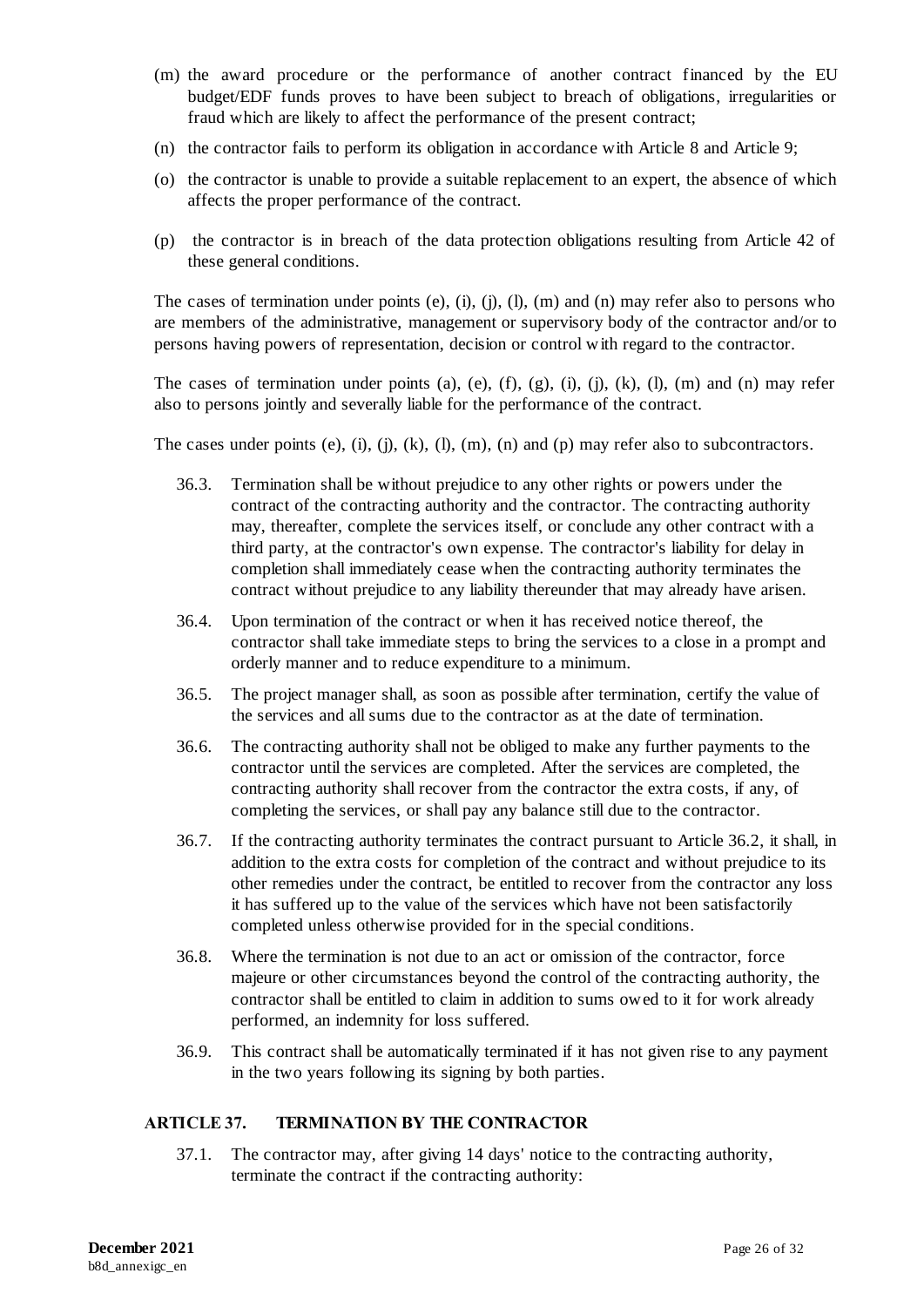- (m) the award procedure or the performance of another contract financed by the EU budget/EDF funds proves to have been subject to breach of obligations, irregularities or fraud which are likely to affect the performance of the present contract;
- (n) the contractor fails to perform its obligation in accordance with Article 8 and Article 9;
- (o) the contractor is unable to provide a suitable replacement to an expert, the absence of which affects the proper performance of the contract.
- (p) the contractor is in breach of the data protection obligations resulting from Article 42 of these general conditions.

The cases of termination under points (e), (i), (j), (l), (m) and (n) may refer also to persons who are members of the administrative, management or supervisory body of the contractor and/or to persons having powers of representation, decision or control with regard to the contractor.

The cases of termination under points (a), (e), (f), (g), (i), (j), (k), (l), (m) and (n) may refer also to persons jointly and severally liable for the performance of the contract.

The cases under points  $(e)$ ,  $(i)$ ,  $(j)$ ,  $(k)$ ,  $(l)$ ,  $(m)$ ,  $(n)$  and  $(p)$  may refer also to subcontractors.

- 36.3. Termination shall be without prejudice to any other rights or powers under the contract of the contracting authority and the contractor. The contracting authority may, thereafter, complete the services itself, or conclude any other contract with a third party, at the contractor's own expense. The contractor's liability for delay in completion shall immediately cease when the contracting authority terminates the contract without prejudice to any liability thereunder that may already have arisen.
- 36.4. Upon termination of the contract or when it has received notice thereof, the contractor shall take immediate steps to bring the services to a close in a prompt and orderly manner and to reduce expenditure to a minimum.
- 36.5. The project manager shall, as soon as possible after termination, certify the value of the services and all sums due to the contractor as at the date of termination.
- 36.6. The contracting authority shall not be obliged to make any further payments to the contractor until the services are completed. After the services are completed, the contracting authority shall recover from the contractor the extra costs, if any, of completing the services, or shall pay any balance still due to the contractor.
- 36.7. If the contracting authority terminates the contract pursuant to Article 36.2, it shall, in addition to the extra costs for completion of the contract and without prejudice to its other remedies under the contract, be entitled to recover from the contractor any loss it has suffered up to the value of the services which have not been satisfactorily completed unless otherwise provided for in the special conditions.
- 36.8. Where the termination is not due to an act or omission of the contractor, force majeure or other circumstances beyond the control of the contracting authority, the contractor shall be entitled to claim in addition to sums owed to it for work already performed, an indemnity for loss suffered.
- 36.9. This contract shall be automatically terminated if it has not given rise to any payment in the two years following its signing by both parties.

### <span id="page-26-0"></span>**ARTICLE 37. TERMINATION BY THE CONTRACTOR**

37.1. The contractor may, after giving 14 days' notice to the contracting authority, terminate the contract if the contracting authority: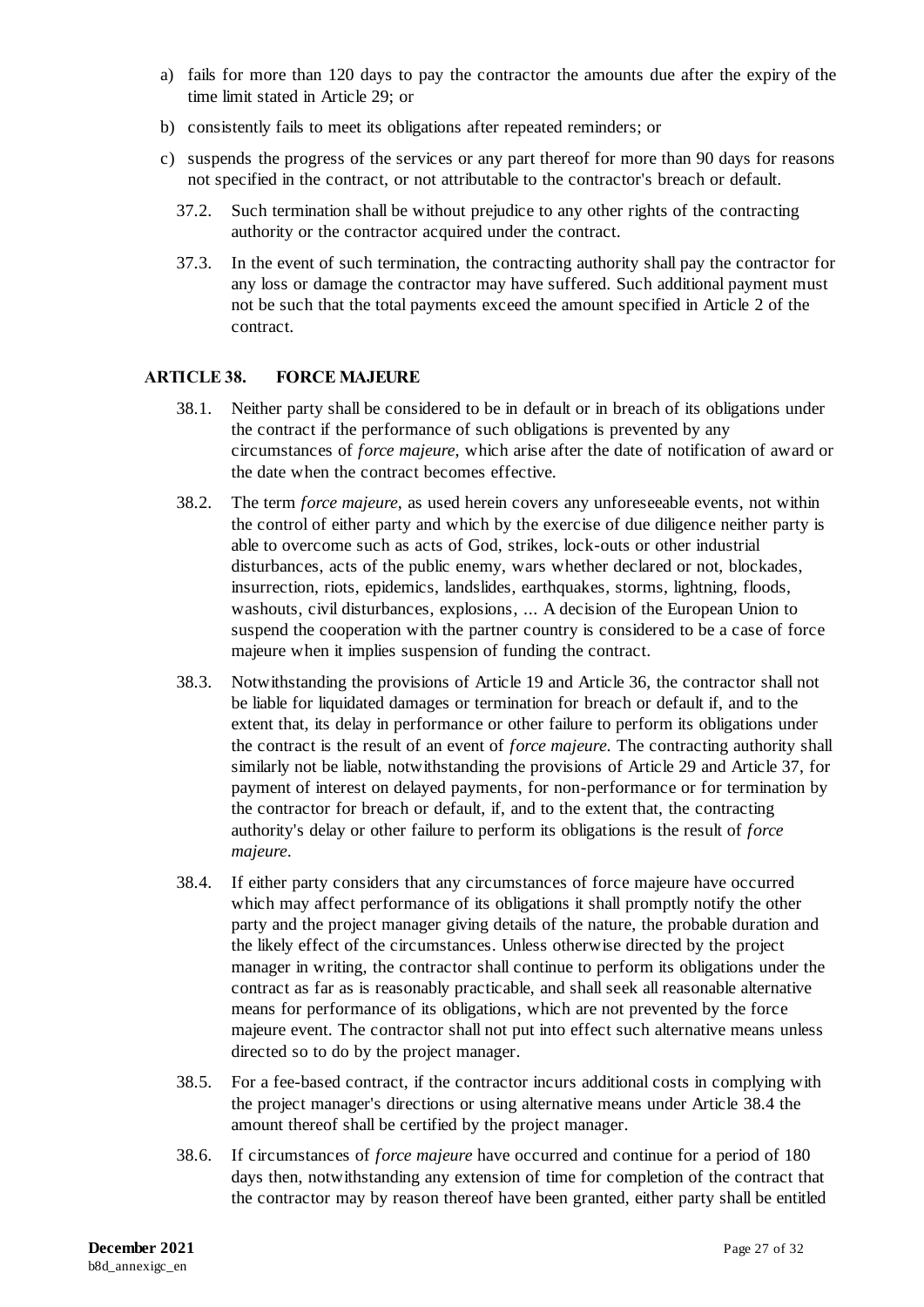- a) fails for more than 120 days to pay the contractor the amounts due after the expiry of the time limit stated in Article 29; or
- b) consistently fails to meet its obligations after repeated reminders; or
- c) suspends the progress of the services or any part thereof for more than 90 days for reasons not specified in the contract, or not attributable to the contractor's breach or default.
	- 37.2. Such termination shall be without prejudice to any other rights of the contracting authority or the contractor acquired under the contract.
	- 37.3. In the event of such termination, the contracting authority shall pay the contractor for any loss or damage the contractor may have suffered. Such additional payment must not be such that the total payments exceed the amount specified in Article 2 of the contract.

### <span id="page-27-0"></span>**ARTICLE 38. FORCE MAJEURE**

- 38.1. Neither party shall be considered to be in default or in breach of its obligations under the contract if the performance of such obligations is prevented by any circumstances of *force majeure*, which arise after the date of notification of award or the date when the contract becomes effective.
- 38.2. The term *force majeure*, as used herein covers any unforeseeable events, not within the control of either party and which by the exercise of due diligence neither party is able to overcome such as acts of God, strikes, lock-outs or other industrial disturbances, acts of the public enemy, wars whether declared or not, blockades, insurrection, riots, epidemics, landslides, earthquakes, storms, lightning, floods, washouts, civil disturbances, explosions, ... A decision of the European Union to suspend the cooperation with the partner country is considered to be a case of force majeure when it implies suspension of funding the contract.
- 38.3. Notwithstanding the provisions of Article 19 and Article 36, the contractor shall not be liable for liquidated damages or termination for breach or default if, and to the extent that, its delay in performance or other failure to perform its obligations under the contract is the result of an event of *force majeure*. The contracting authority shall similarly not be liable, notwithstanding the provisions of Article 29 and Article 37, for payment of interest on delayed payments, for non-performance or for termination by the contractor for breach or default, if, and to the extent that, the contracting authority's delay or other failure to perform its obligations is the result of *force majeure*.
- <span id="page-27-1"></span>38.4. If either party considers that any circumstances of force majeure have occurred which may affect performance of its obligations it shall promptly notify the other party and the project manager giving details of the nature, the probable duration and the likely effect of the circumstances. Unless otherwise directed by the project manager in writing, the contractor shall continue to perform its obligations under the contract as far as is reasonably practicable, and shall seek all reasonable alternative means for performance of its obligations, which are not prevented by the force majeure event. The contractor shall not put into effect such alternative means unless directed so to do by the project manager.
- 38.5. For a fee-based contract, if the contractor incurs additional costs in complying with the project manager's directions or using alternative means under Article [38.4](#page-27-1) the amount thereof shall be certified by the project manager.
- 38.6. If circumstances of *force majeure* have occurred and continue for a period of 180 days then, notwithstanding any extension of time for completion of the contract that the contractor may by reason thereof have been granted, either party shall be entitled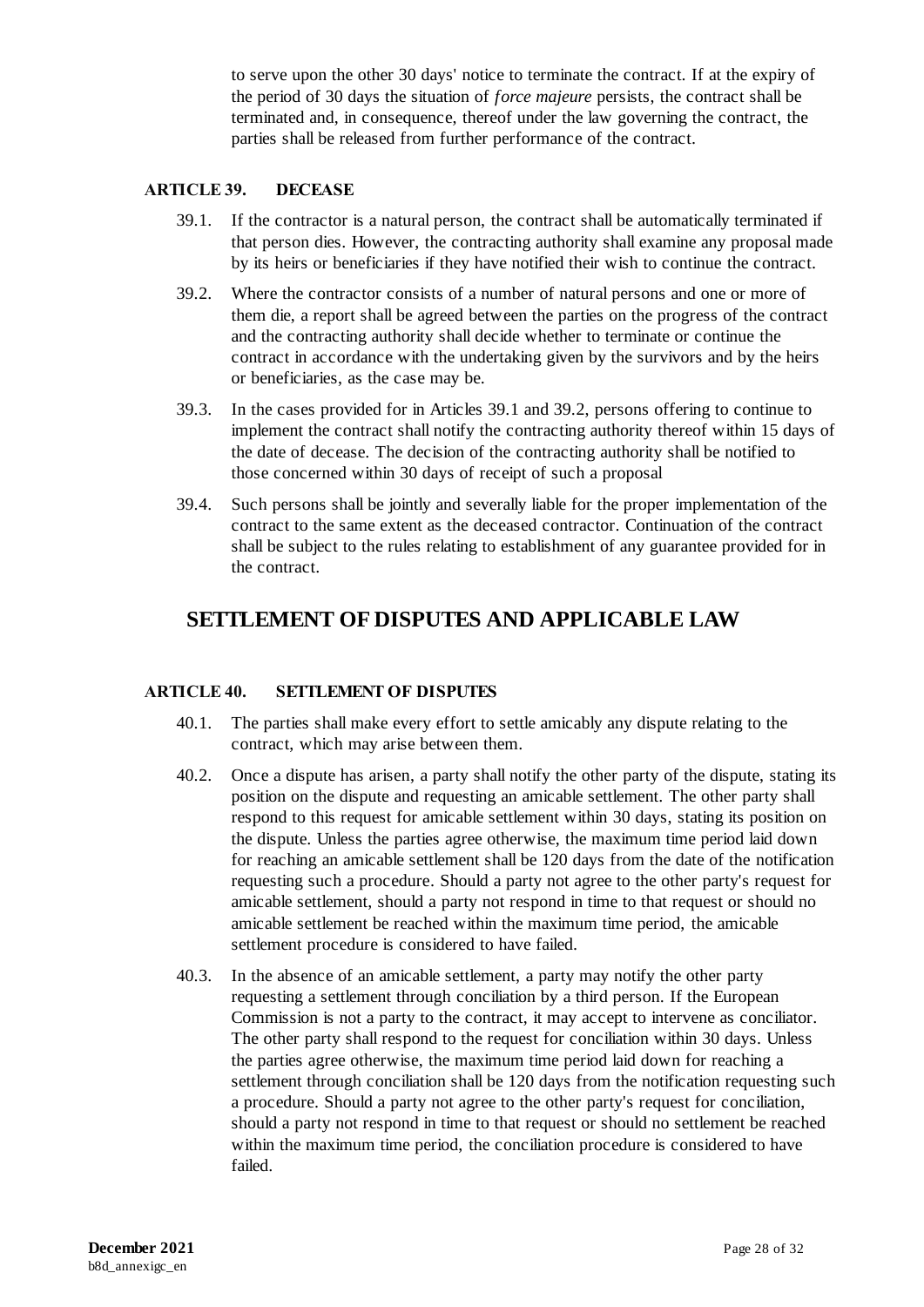to serve upon the other 30 days' notice to terminate the contract. If at the expiry of the period of 30 days the situation of *force majeure* persists, the contract shall be terminated and, in consequence, thereof under the law governing the contract, the parties shall be released from further performance of the contract.

#### <span id="page-28-0"></span>**ARTICLE 39. DECEASE**

- 39.1. If the contractor is a natural person, the contract shall be automatically terminated if that person dies. However, the contracting authority shall examine any proposal made by its heirs or beneficiaries if they have notified their wish to continue the contract.
- 39.2. Where the contractor consists of a number of natural persons and one or more of them die, a report shall be agreed between the parties on the progress of the contract and the contracting authority shall decide whether to terminate or continue the contract in accordance with the undertaking given by the survivors and by the heirs or beneficiaries, as the case may be.
- 39.3. In the cases provided for in Articles 39.1 and 39.2, persons offering to continue to implement the contract shall notify the contracting authority thereof within 15 days of the date of decease. The decision of the contracting authority shall be notified to those concerned within 30 days of receipt of such a proposal
- 39.4. Such persons shall be jointly and severally liable for the proper implementation of the contract to the same extent as the deceased contractor. Continuation of the contract shall be subject to the rules relating to establishment of any guarantee provided for in the contract.

## **SETTLEMENT OF DISPUTES AND APPLICABLE LAW**

#### <span id="page-28-1"></span>**ARTICLE 40. SETTLEMENT OF DISPUTES**

- 40.1. The parties shall make every effort to settle amicably any dispute relating to the contract, which may arise between them.
- 40.2. Once a dispute has arisen, a party shall notify the other party of the dispute, stating its position on the dispute and requesting an amicable settlement. The other party shall respond to this request for amicable settlement within 30 days, stating its position on the dispute. Unless the parties agree otherwise, the maximum time period laid down for reaching an amicable settlement shall be 120 days from the date of the notification requesting such a procedure. Should a party not agree to the other party's request for amicable settlement, should a party not respond in time to that request or should no amicable settlement be reached within the maximum time period, the amicable settlement procedure is considered to have failed.
- 40.3. In the absence of an amicable settlement, a party may notify the other party requesting a settlement through conciliation by a third person. If the European Commission is not a party to the contract, it may accept to intervene as conciliator. The other party shall respond to the request for conciliation within 30 days. Unless the parties agree otherwise, the maximum time period laid down for reaching a settlement through conciliation shall be 120 days from the notification requesting such a procedure. Should a party not agree to the other party's request for conciliation, should a party not respond in time to that request or should no settlement be reached within the maximum time period, the conciliation procedure is considered to have failed.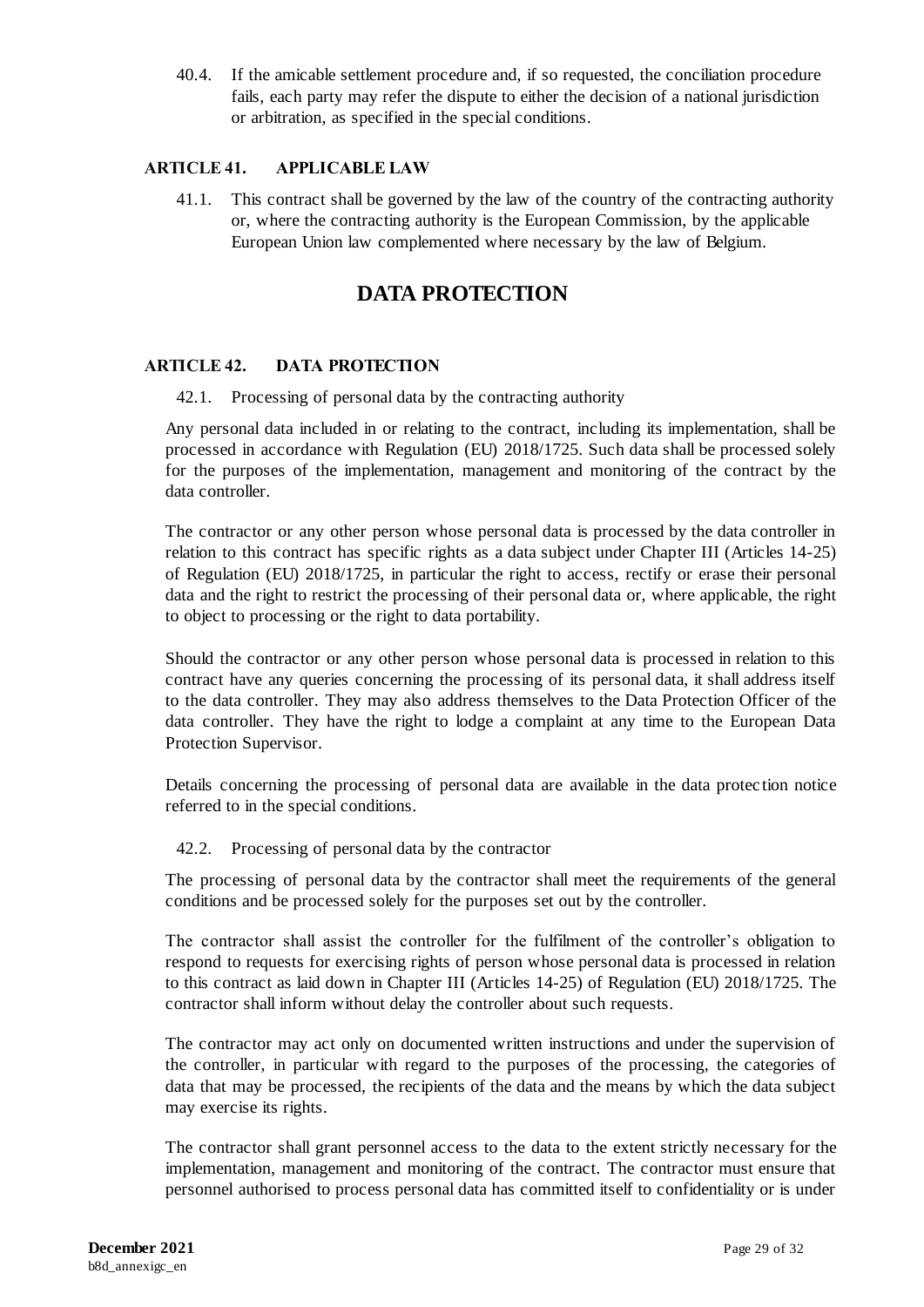40.4. If the amicable settlement procedure and, if so requested, the conciliation procedure fails, each party may refer the dispute to either the decision of a national jurisdiction or arbitration, as specified in the special conditions.

#### <span id="page-29-0"></span>**ARTICLE 41. APPLICABLE LAW**

41.1. This contract shall be governed by the law of the country of the contracting authority or, where the contracting authority is the European Commission, by the applicable European Union law complemented where necessary by the law of Belgium.

## **DATA PROTECTION**

#### <span id="page-29-1"></span>**ARTICLE 42. DATA PROTECTION**

42.1. Processing of personal data by the contracting authority

Any personal data included in or relating to the contract, including its implementation, shall be processed in accordance with Regulation (EU) 2018/1725. Such data shall be processed solely for the purposes of the implementation, management and monitoring of the contract by the data controller.

The contractor or any other person whose personal data is processed by the data controller in relation to this contract has specific rights as a data subject under Chapter III (Articles 14-25) of Regulation (EU) 2018/1725, in particular the right to access, rectify or erase their personal data and the right to restrict the processing of their personal data or, where applicable, the right to object to processing or the right to data portability.

Should the contractor or any other person whose personal data is processed in relation to this contract have any queries concerning the processing of its personal data, it shall address itself to the data controller. They may also address themselves to the Data Protection Officer of the data controller. They have the right to lodge a complaint at any time to the European Data Protection Supervisor.

Details concerning the processing of personal data are available in the data protec tion notice referred to in the special conditions.

#### 42.2. Processing of personal data by the contractor

The processing of personal data by the contractor shall meet the requirements of the general conditions and be processed solely for the purposes set out by the controller.

The contractor shall assist the controller for the fulfilment of the controller's obligation to respond to requests for exercising rights of person whose personal data is processed in relation to this contract as laid down in Chapter III (Articles 14-25) of Regulation (EU) 2018/1725. The contractor shall inform without delay the controller about such requests.

The contractor may act only on documented written instructions and under the supervision of the controller, in particular with regard to the purposes of the processing, the categories of data that may be processed, the recipients of the data and the means by which the data subject may exercise its rights.

The contractor shall grant personnel access to the data to the extent strictly necessary for the implementation, management and monitoring of the contract. The contractor must ensure that personnel authorised to process personal data has committed itself to confidentiality or is under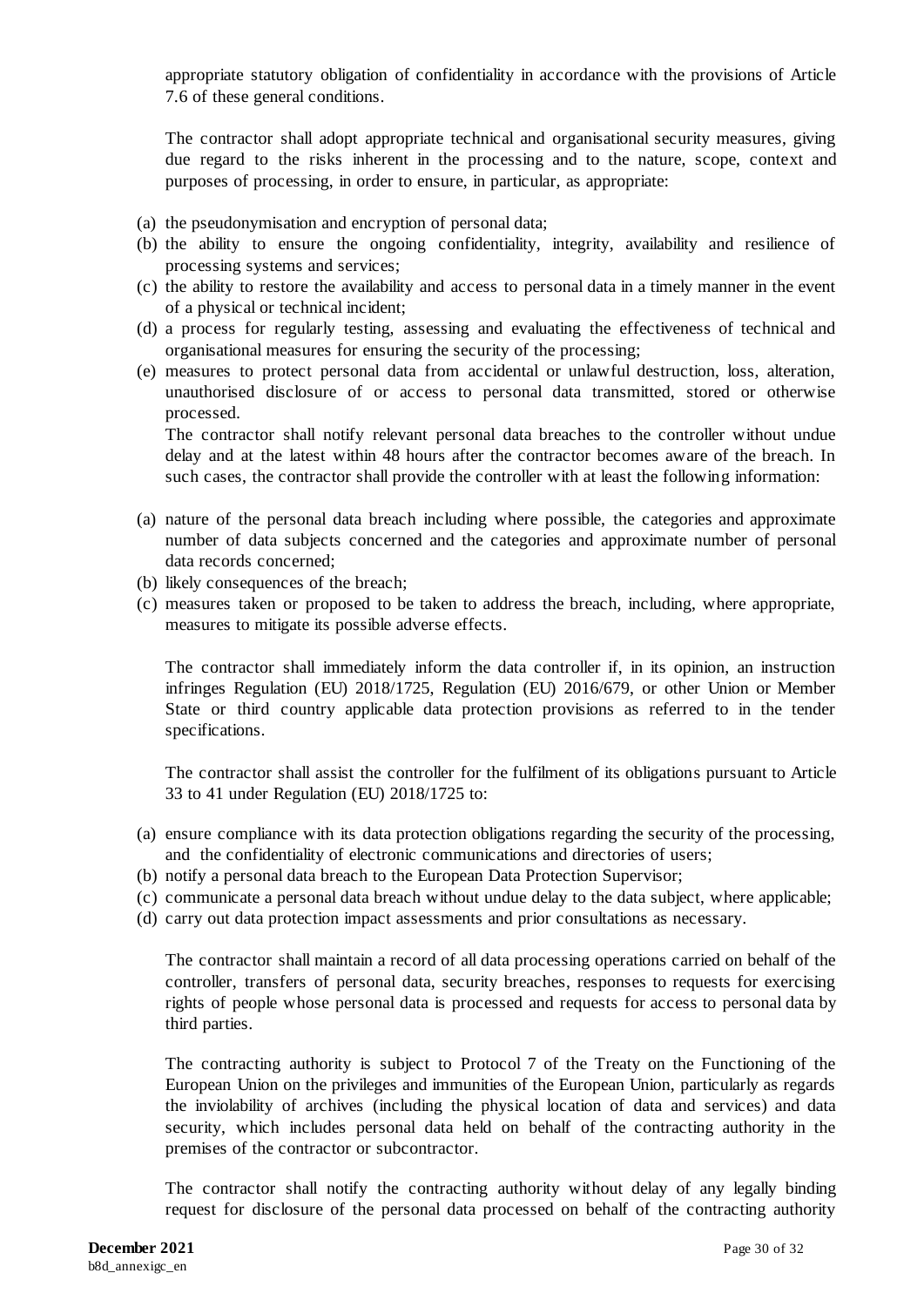appropriate statutory obligation of confidentiality in accordance with the provisions of Article 7.6 of these general conditions.

The contractor shall adopt appropriate technical and organisational security measures, giving due regard to the risks inherent in the processing and to the nature, scope, context and purposes of processing, in order to ensure, in particular, as appropriate:

- (a) the pseudonymisation and encryption of personal data;
- (b) the ability to ensure the ongoing confidentiality, integrity, availability and resilience of processing systems and services;
- (c) the ability to restore the availability and access to personal data in a timely manner in the event of a physical or technical incident;
- (d) a process for regularly testing, assessing and evaluating the effectiveness of technical and organisational measures for ensuring the security of the processing;
- (e) measures to protect personal data from accidental or unlawful destruction, loss, alteration, unauthorised disclosure of or access to personal data transmitted, stored or otherwise processed.

The contractor shall notify relevant personal data breaches to the controller without undue delay and at the latest within 48 hours after the contractor becomes aware of the breach. In such cases, the contractor shall provide the controller with at least the following information:

- (a) nature of the personal data breach including where possible, the categories and approximate number of data subjects concerned and the categories and approximate number of personal data records concerned;
- (b) likely consequences of the breach;
- (c) measures taken or proposed to be taken to address the breach, including, where appropriate, measures to mitigate its possible adverse effects.

The contractor shall immediately inform the data controller if, in its opinion, an instruction infringes Regulation (EU) 2018/1725, Regulation (EU) 2016/679, or other Union or Member State or third country applicable data protection provisions as referred to in the tender specifications.

The contractor shall assist the controller for the fulfilment of its obligations pursuant to Article 33 to 41 under Regulation (EU) 2018/1725 to:

- (a) ensure compliance with its data protection obligations regarding the security of the processing, and the confidentiality of electronic communications and directories of users;
- (b) notify a personal data breach to the European Data Protection Supervisor;
- (c) communicate a personal data breach without undue delay to the data subject, where applicable;
- (d) carry out data protection impact assessments and prior consultations as necessary.

The contractor shall maintain a record of all data processing operations carried on behalf of the controller, transfers of personal data, security breaches, responses to requests for exercising rights of people whose personal data is processed and requests for access to personal data by third parties.

The contracting authority is subject to Protocol 7 of the Treaty on the Functioning of the European Union on the privileges and immunities of the European Union, particularly as regards the inviolability of archives (including the physical location of data and services) and data security, which includes personal data held on behalf of the contracting authority in the premises of the contractor or subcontractor.

The contractor shall notify the contracting authority without delay of any legally binding request for disclosure of the personal data processed on behalf of the contracting authority